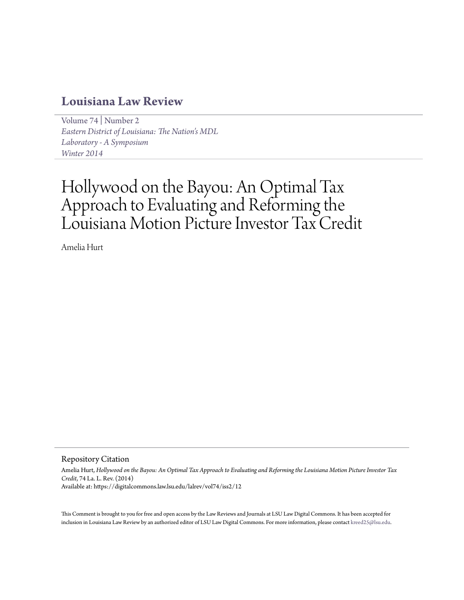# **[Louisiana Law Review](https://digitalcommons.law.lsu.edu/lalrev)**

[Volume 74](https://digitalcommons.law.lsu.edu/lalrev/vol74) | [Number 2](https://digitalcommons.law.lsu.edu/lalrev/vol74/iss2) *[Eastern District of Louisiana: The Nation's MDL](https://digitalcommons.law.lsu.edu/lalrev/vol74/iss2) [Laboratory - A Symposium](https://digitalcommons.law.lsu.edu/lalrev/vol74/iss2) [Winter 2014](https://digitalcommons.law.lsu.edu/lalrev/vol74/iss2)*

# Hollywood on the Bayou: An Optimal Tax Approach to Evaluating and Reforming the Louisiana Motion Picture Investor Tax Credit

Amelia Hurt

Repository Citation

Amelia Hurt, *Hollywood on the Bayou: An Optimal Tax Approach to Evaluating and Reforming the Louisiana Motion Picture Investor Tax Credit*, 74 La. L. Rev. (2014) Available at: https://digitalcommons.law.lsu.edu/lalrev/vol74/iss2/12

This Comment is brought to you for free and open access by the Law Reviews and Journals at LSU Law Digital Commons. It has been accepted for inclusion in Louisiana Law Review by an authorized editor of LSU Law Digital Commons. For more information, please contact [kreed25@lsu.edu](mailto:kreed25@lsu.edu).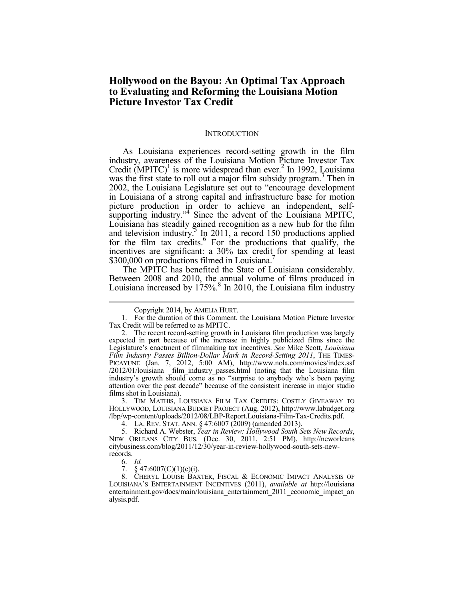# **Hollywood on the Bayou: An Optimal Tax Approach to Evaluating and Reforming the Louisiana Motion Picture Investor Tax Credit**

#### **INTRODUCTION**

As Louisiana experiences record-setting growth in the film industry, awareness of the Louisiana Motion Picture Investor Tax Credit  $(MPITC)^{1}$  is more widespread than ever.<sup>2</sup> In 1992, Louisiana was the first state to roll out a major film subsidy program.<sup>3</sup> Then in 2002, the Louisiana Legislature set out to "encourage development in Louisiana of a strong capital and infrastructure base for motion picture production in order to achieve an independent, selfsupporting industry."<sup>4</sup> Since the advent of the Louisiana MPITC, Louisiana has steadily gained recognition as a new hub for the film and television industry.<sup>5</sup> In 2011, a record 150 productions applied for the film tax credits. $6$  For the productions that qualify, the incentives are significant: a 30% tax credit for spending at least \$300,000 on productions filmed in Louisiana.

The MPITC has benefited the State of Louisiana considerably. Between 2008 and 2010, the annual volume of films produced in Louisiana increased by  $175\%$ <sup>8</sup> In 2010, the Louisiana film industry

 3. TIM MATHIS, LOUISIANA FILM TAX CREDITS: COSTLY GIVEAWAY TO HOLLYWOOD, LOUISIANA BUDGET PROJECT (Aug. 2012), http://www.labudget.org /lbp/wp-content/uploads/2012/08/LBP-Report.Louisiana-Film-Tax-Credits.pdf.

4. LA. REV. STAT. ANN. § 47:6007 (2009) (amended 2013).

 5. Richard A. Webster, *Year in Review: Hollywood South Sets New Records*, NEW ORLEANS CITY BUS. (Dec. 30, 2011, 2:51 PM), http://neworleans citybusiness.com/blog/2011/12/30/year-in-review-hollywood-south-sets-newrecords.

6. *Id.*

1

7.  $§$  47:6007(C)(1)(c)(i).

 8. CHERYL LOUISE BAXTER, FISCAL & ECONOMIC IMPACT ANALYSIS OF LOUISIANA'S ENTERTAINMENT INCENTIVES (2011), *available at* http://louisiana entertainment.gov/docs/main/louisiana\_entertainment\_2011\_economic\_impact\_an alysis.pdf.

Copyright 2014, by AMELIA HURT.

 <sup>1.</sup> For the duration of this Comment, the Louisiana Motion Picture Investor Tax Credit will be referred to as MPITC.

 <sup>2.</sup> The recent record-setting growth in Louisiana film production was largely expected in part because of the increase in highly publicized films since the Legislature's enactment of filmmaking tax incentives. *See* Mike Scott, *Louisiana Film Industry Passes Billion-Dollar Mark in Record-Setting 2011*, THE TIMES-PICAYUNE (Jan. 7, 2012, 5:00 AM), http://www.nola.com/movies/index.ssf /2012/01/louisiana \_film\_industry\_passes.html (noting that the Louisiana film industry's growth should come as no "surprise to anybody who's been paying attention over the past decade" because of the consistent increase in major studio films shot in Louisiana).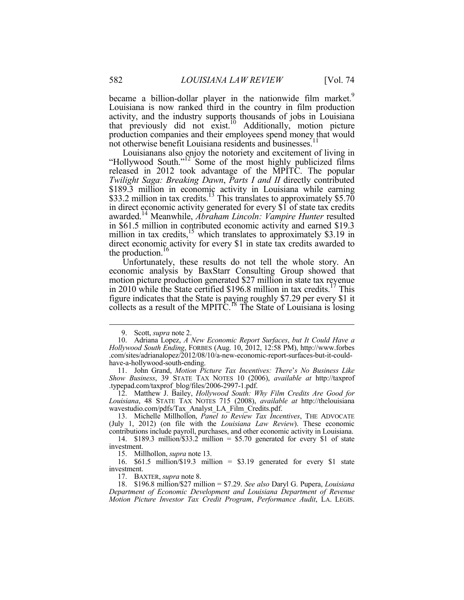became a billion-dollar player in the nationwide film market.<sup>9</sup> Louisiana is now ranked third in the country in film production activity, and the industry supports thousands of jobs in Louisiana that previously did not exist.<sup>10</sup> Additionally, motion picture production companies and their employees spend money that would not otherwise benefit Louisiana residents and businesses.<sup>11</sup>

Louisianans also enjoy the notoriety and excitement of living in "Hollywood South."<sup>12</sup> Some of the most highly publicized films released in 2012 took advantage of the MPITC. The popular *Twilight Saga: Breaking Dawn*, *Parts I and II* directly contributed \$189.3 million in economic activity in Louisiana while earning \$33.2 million in tax credits.<sup>13</sup> This translates to approximately \$5.70 in direct economic activity generated for every \$1 of state tax credits awarded.<sup>14</sup> Meanwhile, *Abraham Lincoln: Vampire Hunter* resulted in \$61.5 million in contributed economic activity and earned \$19.3 million in tax credits,  $^{15}$  which translates to approximately \$3.19 in direct economic activity for every \$1 in state tax credits awarded to the production.<sup>16</sup>

Unfortunately, these results do not tell the whole story. An economic analysis by BaxStarr Consulting Group showed that motion picture production generated \$27 million in state tax revenue in 2010 while the State certified \$196.8 million in tax credits.<sup>17</sup> This figure indicates that the State is paying roughly \$7.29 per every \$1 it collects as a result of the MPITC.<sup>18</sup> The State of Louisiana is losing

1

 12. Matthew J. Bailey, *Hollywood South: Why Film Credits Are Good for Louisiana*, 48 STATE TAX NOTES 715 (2008), *available at* http://thelouisiana wavestudio.com/pdfs/Tax\_Analyst\_LA\_Film\_Credits.pdf.

 13. Michelle Millhollon, *Panel to Review Tax Incentives*, THE ADVOCATE (July 1, 2012) (on file with the *Louisiana Law Review*). These economic contributions include payroll, purchases, and other economic activity in Louisiana.

 14. \$189.3 million/\$33.2 million = \$5.70 generated for every \$1 of state investment.

15. Millhollon, *supra* note 13.

 16. \$61.5 million/\$19.3 million = \$3.19 generated for every \$1 state investment.

17. BAXTER, *supra* note 8.

 18. \$196.8 million/\$27 million = \$7.29. *See also* Daryl G. Pupera, *Louisiana Department of Economic Development and Louisiana Department of Revenue Motion Picture Investor Tax Credit Program*, *Performance Audit*, LA. LEGIS.

 <sup>9.</sup> Scott, *supra* note 2.

 <sup>10.</sup> Adriana Lopez, *A New Economic Report Surfaces*, *but It Could Have a Hollywood South Ending*, FORBES (Aug. 10, 2012, 12:58 PM), http://www.forbes .com/sites/adrianalopez/2012/08/10/a-new-economic-report-surfaces-but-it-couldhave-a-hollywood-south-ending.

 <sup>11.</sup> John Grand, *Motion Picture Tax Incentives: There*'*s No Business Like Show Business*, 39 STATE TAX NOTES 10 (2006), *available at* http://taxprof .typepad.com/taxprof\_blog/files/2006-2997-1.pdf.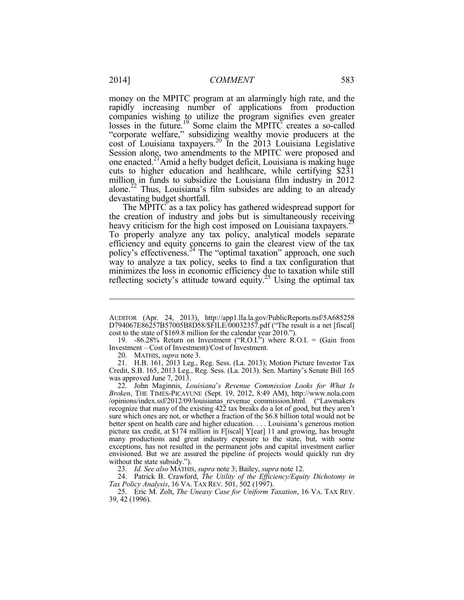money on the MPITC program at an alarmingly high rate, and the rapidly increasing number of applications from production companies wishing to utilize the program signifies even greater losses in the future.<sup>19</sup> Some claim the MPITC creates a so-called "corporate welfare," subsidizing wealthy movie producers at the cost of Louisiana taxpayers.<sup>20</sup> In the 2013 Louisiana Legislative Session alone, two amendments to the MPITC were proposed and one enacted.21Amid a hefty budget deficit, Louisiana is making huge cuts to higher education and healthcare, while certifying \$231 million in funds to subsidize the Louisiana film industry in 2012 alone.<sup>22</sup> Thus, Louisiana's film subsides are adding to an already devastating budget shortfall.

The MPITC as a tax policy has gathered widespread support for the creation of industry and jobs but is simultaneously receiving heavy criticism for the high cost imposed on Louisiana taxpayers.<sup>23</sup> To properly analyze any tax policy, analytical models separate efficiency and equity concerns to gain the clearest view of the tax policy's effectiveness.<sup>24</sup> The "optimal taxation" approach, one such way to analyze a tax policy, seeks to find a tax configuration that minimizes the loss in economic efficiency due to taxation while still reflecting society's attitude toward equity.<sup>25</sup> Using the optimal tax

 19. -86.28% Return on Investment ("R.O.I.") where R.O.I. = (Gain from Investment – Cost of Investment)/Cost of Investment.

20. MATHIS, *supra* note 3.

 21. H.B. 161, 2013 Leg., Reg. Sess. (La. 2013); Motion Picture Investor Tax Credit, S.B. 165, 2013 Leg., Reg. Sess. (La. 2013). Sen. Martiny's Senate Bill 165 was approved June 7, 2013.

 22. John Maginnis, *Louisiana*'*s Revenue Commission Looks for What Is Broken*, THE TIMES-PICAYUNE (Sept. 19, 2012, 8:49 AM), http://www.nola.com /opinions/index.ssf/2012/09/louisianas\_revenue\_commission.html. ("Lawmakers recognize that many of the existing  $42\overline{2}$  tax breaks do a lot of good, but they aren't sure which ones are not, or whether a fraction of the \$6.8 billion total would not be better spent on health care and higher education. . . . Louisiana's generous motion picture tax credit, at \$174 million in F[iscal] Y[ear] 11 and growing, has brought many productions and great industry exposure to the state, but, with some exceptions, has not resulted in the permanent jobs and capital investment earlier envisioned. But we are assured the pipeline of projects would quickly run dry without the state subsidy.").

23. *Id. See also* MATHIS, *supra* note 3; Bailey, *supra* note 12.

 24. Patrick B. Crawford, *The Utility of the Efficiency/Equity Dichotomy in Tax Policy Analysis*, 16 VA. TAX REV. 501, 502 (1997).

 25. Eric M. Zolt, *The Uneasy Case for Uniform Taxation*, 16 VA. TAX REV. 39, 42 (1996).

AUDITOR (Apr. 24, 2013), http://app1.lla.la.gov/PublicReports.nsf/5A685258 D794067E86257B57005B8D58/\$FILE/00032357.pdf ("The result is a net [fiscal] cost to the state of \$169.8 million for the calendar year 2010.").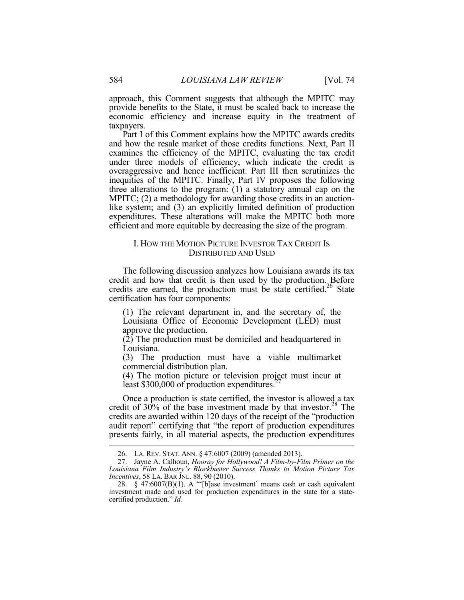approach, this Comment suggests that although the MPITC may provide benefits to the State, it must be scaled back to increase the economic efficiency and increase equity in the treatment of taxpayers.

Part I of this Comment explains how the MPITC awards credits and how the resale market of those credits functions. Next, Part II examines the efficiency of the MPITC, evaluating the tax credit under three models of efficiency, which indicate the credit is overaggressive and hence inefficient. Part III then scrutinizes the inequities of the MPITC. Finally, Part IV proposes the following three alterations to the program: (1) a statutory annual cap on the MPITC; (2) a methodology for awarding those credits in an auctionlike system; and (3) an explicitly limited definition of production expenditures. These alterations will make the MPITC both more efficient and more equitable by decreasing the size of the program.

#### I. HOW THE MOTION PICTURE INVESTOR TAX CREDIT IS DISTRIBUTED AND USED

The following discussion analyzes how Louisiana awards its tax credit and how that credit is then used by the production. Before credits are earned, the production must be state certified.<sup>26</sup> State certification has four components:

(1) The relevant department in, and the secretary of, the Louisiana Office of Economic Development (LED) must approve the production.

(2) The production must be domiciled and headquartered in Louisiana.

(3) The production must have a viable multimarket commercial distribution plan.

(4) The motion picture or television project must incur at least \$300,000 of production expenditures.<sup>2</sup>

Once a production is state certified, the investor is allowed a tax credit of 30% of the base investment made by that investor. $28$  The credits are awarded within 120 days of the receipt of the "production audit report" certifying that "the report of production expenditures presents fairly, in all material aspects, the production expenditures

 <sup>26.</sup> LA. REV. STAT. ANN. § 47:6007 (2009) (amended 2013).

 <sup>27.</sup> Jayne A. Calhoun, *Hooray for Hollywood! A Film-by-Film Primer on the Louisiana Film Industry's Blockbuster Success Thanks to Motion Picture Tax Incentives*, 58 LA. BAR JNL. 88, 90 (2010).

<sup>28.</sup>  $\S$  47:6007(B)(1). A "'[b]ase investment' means cash or cash equivalent investment made and used for production expenditures in the state for a statecertified production." *Id.*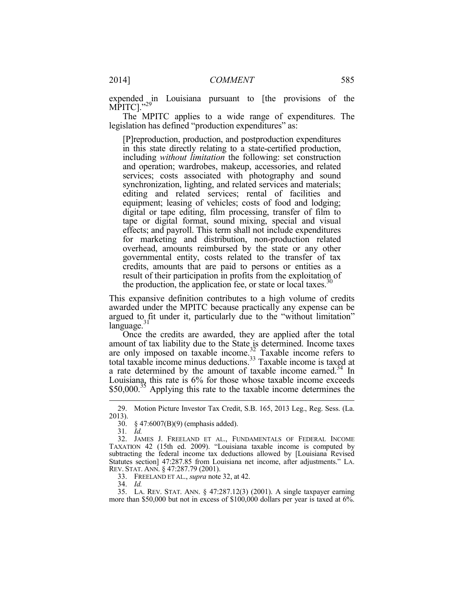expended in Louisiana pursuant to [the provisions of the MPITC]."29

The MPITC applies to a wide range of expenditures. The legislation has defined "production expenditures" as:

[P]reproduction, production, and postproduction expenditures in this state directly relating to a state-certified production, including *without limitation* the following: set construction and operation; wardrobes, makeup, accessories, and related services; costs associated with photography and sound synchronization, lighting, and related services and materials; editing and related services; rental of facilities and equipment; leasing of vehicles; costs of food and lodging; digital or tape editing, film processing, transfer of film to tape or digital format, sound mixing, special and visual effects; and payroll. This term shall not include expenditures for marketing and distribution, non-production related overhead, amounts reimbursed by the state or any other governmental entity, costs related to the transfer of tax credits, amounts that are paid to persons or entities as a result of their participation in profits from the exploitation of the production, the application fee, or state or local taxes.<sup>30</sup>

This expansive definition contributes to a high volume of credits awarded under the MPITC because practically any expense can be argued to fit under it, particularly due to the "without limitation"  $language.<sup>31</sup>$ 

Once the credits are awarded, they are applied after the total amount of tax liability due to the State is determined. Income taxes are only imposed on taxable income.<sup>32</sup> Taxable income refers to total taxable income minus deductions.<sup>33</sup> Taxable income is taxed at a rate determined by the amount of taxable income earned.<sup>34</sup> In Louisiana, this rate is 6% for those whose taxable income exceeds  $$50,000$ .<sup>35</sup> Applying this rate to the taxable income determines the

1

33. FREELAND ET AL., *supra* note 32, at 42.

34. *Id.*

 35. LA. REV. STAT. ANN. § 47:287.12(3) (2001). A single taxpayer earning more than \$50,000 but not in excess of \$100,000 dollars per year is taxed at 6%.

 <sup>29.</sup> Motion Picture Investor Tax Credit, S.B. 165, 2013 Leg., Reg. Sess. (La. 2013).

 <sup>30. § 47:6007(</sup>B)(9) (emphasis added).

<sup>31</sup>*. Id.*

 <sup>32.</sup> JAMES J. FREELAND ET AL., FUNDAMENTALS OF FEDERAL INCOME TAXATION 42 (15th ed. 2009). "Louisiana taxable income is computed by subtracting the federal income tax deductions allowed by [Louisiana Revised Statutes section] 47:287.85 from Louisiana net income, after adjustments." LA. REV. STAT. ANN. § 47:287.79 (2001).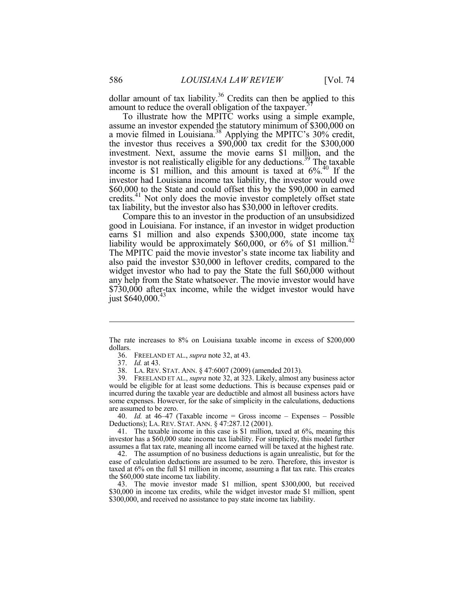dollar amount of tax liability.<sup>36</sup> Credits can then be applied to this amount to reduce the overall obligation of the taxpayer.<sup>37</sup>

To illustrate how the MPITC works using a simple example, assume an investor expended the statutory minimum of \$300,000 on a movie filmed in Louisiana.<sup>38</sup> Applying the MPITC's 30% credit, the investor thus receives a \$90,000 tax credit for the \$300,000 investment. Next, assume the movie earns \$1 million, and the investor is not realistically eligible for any deductions.<sup>39</sup> The taxable income is \$1 million, and this amount is taxed at  $6\%$ .<sup>40</sup> If the investor had Louisiana income tax liability, the investor would owe \$60,000 to the State and could offset this by the \$90,000 in earned credits.<sup>41</sup> Not only does the movie investor completely offset state tax liability, but the investor also has \$30,000 in leftover credits.

Compare this to an investor in the production of an unsubsidized good in Louisiana. For instance, if an investor in widget production earns \$1 million and also expends \$300,000, state income tax liability would be approximately \$60,000, or  $6\%$  of \$1 million.<sup>42</sup> The MPITC paid the movie investor's state income tax liability and also paid the investor \$30,000 in leftover credits, compared to the widget investor who had to pay the State the full \$60,000 without any help from the State whatsoever. The movie investor would have \$730,000 after-tax income, while the widget investor would have just  $$640,000.<sup>43</sup>$ 

1

 40. *Id.* at 46–47 (Taxable income = Gross income – Expenses – Possible Deductions); LA. REV. STAT. ANN. § 47:287.12 (2001).

 41. The taxable income in this case is \$1 million, taxed at 6%, meaning this investor has a \$60,000 state income tax liability. For simplicity, this model further assumes a flat tax rate, meaning all income earned will be taxed at the highest rate.

 42. The assumption of no business deductions is again unrealistic, but for the ease of calculation deductions are assumed to be zero. Therefore, this investor is taxed at 6% on the full \$1 million in income, assuming a flat tax rate. This creates the \$60,000 state income tax liability.

 43. The movie investor made \$1 million, spent \$300,000, but received \$30,000 in income tax credits, while the widget investor made \$1 million, spent \$300,000, and received no assistance to pay state income tax liability.

The rate increases to 8% on Louisiana taxable income in excess of \$200,000 dollars.

 <sup>36.</sup> FREELAND ET AL., *supra* note 32, at 43.

 <sup>37.</sup> *Id.* at 43.

 <sup>38.</sup> LA. REV. STAT. ANN. § 47:6007 (2009) (amended 2013).

 <sup>39.</sup> FREELAND ET AL., *supra* note 32, at 323. Likely, almost any business actor would be eligible for at least some deductions. This is because expenses paid or incurred during the taxable year are deductible and almost all business actors have some expenses. However, for the sake of simplicity in the calculations, deductions are assumed to be zero.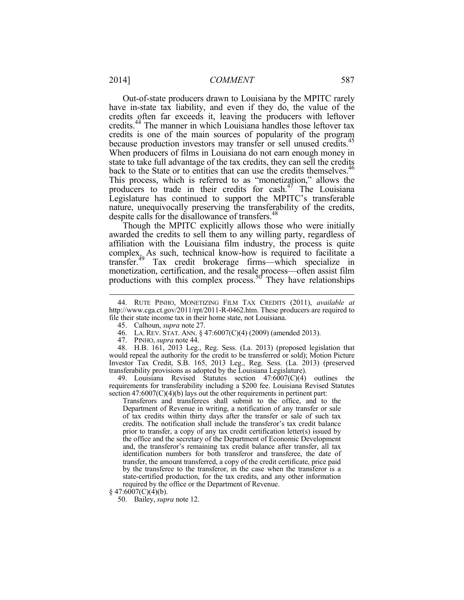Out-of-state producers drawn to Louisiana by the MPITC rarely have in-state tax liability, and even if they do, the value of the credits often far exceeds it, leaving the producers with leftover credits.<sup>44</sup> The manner in which Louisiana handles those leftover tax credits is one of the main sources of popularity of the program because production investors may transfer or sell unused credits.<sup>45</sup> When producers of films in Louisiana do not earn enough money in state to take full advantage of the tax credits, they can sell the credits back to the State or to entities that can use the credits themselves.<sup>46</sup> This process, which is referred to as "monetization," allows the producers to trade in their credits for cash.<sup>47</sup> The Louisiana Legislature has continued to support the MPITC's transferable nature, unequivocally preserving the transferability of the credits, despite calls for the disallowance of transfers.<sup>48</sup>

Though the MPITC explicitly allows those who were initially awarded the credits to sell them to any willing party, regardless of affiliation with the Louisiana film industry, the process is quite complex. As such, technical know-how is required to facilitate a transfer.<sup>49</sup> Tax credit brokerage firms—which specialize in monetization, certification, and the resale process—often assist film productions with this complex process.<sup>50</sup> They have relationships

 48. H.B. 161, 2013 Leg., Reg. Sess. (La. 2013) (proposed legislation that would repeal the authority for the credit to be transferred or sold); Motion Picture Investor Tax Credit, S.B. 165, 2013 Leg., Reg. Sess. (La. 2013) (preserved transferability provisions as adopted by the Louisiana Legislature).

 49. Louisiana Revised Statutes section 47:6007(C)(4) outlines the requirements for transferability including a \$200 fee. Louisiana Revised Statutes section  $47:6007(C)(4)(b)$  lays out the other requirements in pertinent part:

Transferors and transferees shall submit to the office, and to the Department of Revenue in writing, a notification of any transfer or sale of tax credits within thirty days after the transfer or sale of such tax credits. The notification shall include the transferor's tax credit balance prior to transfer, a copy of any tax credit certification letter(s) issued by the office and the secretary of the Department of Economic Development and, the transferor's remaining tax credit balance after transfer, all tax identification numbers for both transferor and transferee, the date of transfer, the amount transferred, a copy of the credit certificate, price paid by the transferee to the transferor, in the case when the transferor is a state-certified production, for the tax credits, and any other information required by the office or the Department of Revenue.

<u>.</u>

 <sup>44.</sup> RUTE PINHO, MONETIZING FILM TAX CREDITS (2011), *available at*  http://www.cga.ct.gov/2011/rpt/2011-R-0462.htm. These producers are required to file their state income tax in their home state, not Louisiana.

 <sup>45.</sup> Calhoun, *supra* note 27.

 <sup>46.</sup> LA. REV. STAT. ANN. § 47:6007(C)(4) (2009) (amended 2013).

 <sup>47.</sup> PINHO, *supra* note 44.

 $§$  47:6007(C)(4)(b).

 <sup>50.</sup> Bailey, *supra* note 12.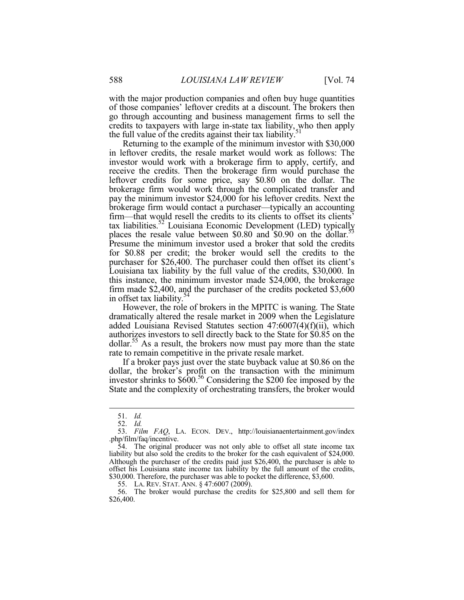with the major production companies and often buy huge quantities of those companies' leftover credits at a discount. The brokers then go through accounting and business management firms to sell the credits to taxpayers with large in-state tax liability, who then apply the full value of the credits against their tax liability.

Returning to the example of the minimum investor with \$30,000 in leftover credits, the resale market would work as follows: The investor would work with a brokerage firm to apply, certify, and receive the credits. Then the brokerage firm would purchase the leftover credits for some price, say \$0.80 on the dollar. The brokerage firm would work through the complicated transfer and pay the minimum investor \$24,000 for his leftover credits. Next the brokerage firm would contact a purchaser—typically an accounting firm—that would resell the credits to its clients to offset its clients' tax liabilities.<sup>52</sup> Louisiana Economic Development (LED) typically places the resale value between \$0.80 and  $$0.90$  on the dollar.<sup>53</sup> Presume the minimum investor used a broker that sold the credits for \$0.88 per credit; the broker would sell the credits to the purchaser for \$26,400. The purchaser could then offset its client's Louisiana tax liability by the full value of the credits, \$30,000. In this instance, the minimum investor made \$24,000, the brokerage firm made \$2,400, and the purchaser of the credits pocketed \$3,600 in offset tax liability.<sup>54</sup>

However, the role of brokers in the MPITC is waning. The State dramatically altered the resale market in 2009 when the Legislature added Louisiana Revised Statutes section 47:6007(4)(f)(ii), which authorizes investors to sell directly back to the State for \$0.85 on the dollar.<sup>55</sup> As a result, the brokers now must pay more than the state rate to remain competitive in the private resale market.

If a broker pays just over the state buyback value at \$0.86 on the dollar, the broker's profit on the transaction with the minimum investor shrinks to \$600.<sup>56</sup> Considering the \$200 fee imposed by the State and the complexity of orchestrating transfers, the broker would

<u>.</u>

 <sup>51.</sup> *Id.*

 <sup>52.</sup> *Id.*

 <sup>53.</sup> *Film FAQ*, LA. ECON. DEV., http://louisianaentertainment.gov/index .php/film/faq/incentive.

 <sup>54.</sup> The original producer was not only able to offset all state income tax liability but also sold the credits to the broker for the cash equivalent of \$24,000. Although the purchaser of the credits paid just \$26,400, the purchaser is able to offset his Louisiana state income tax liability by the full amount of the credits, \$30,000. Therefore, the purchaser was able to pocket the difference, \$3,600.

<sup>55.</sup> LA. REV. STAT. ANN. § 47:6007 (2009).<br>56. The broker would purchase the credit The broker would purchase the credits for \$25,800 and sell them for \$26,400.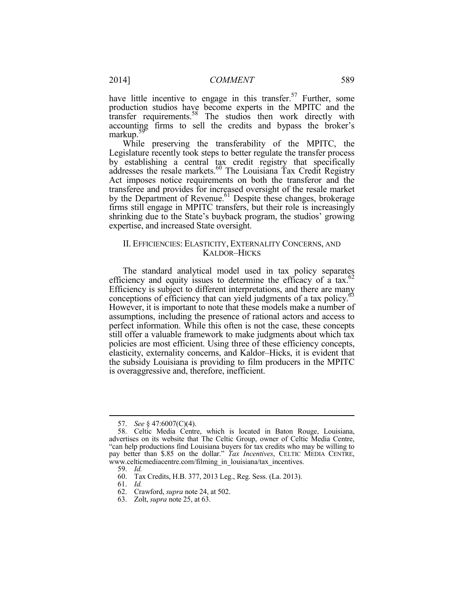have little incentive to engage in this transfer.<sup>57</sup> Further, some production studios have become experts in the MPITC and the transfer requirements.<sup>58</sup> The studios then work directly with accounting firms to sell the credits and bypass the broker's markup.<sup>59</sup>

While preserving the transferability of the MPITC, the Legislature recently took steps to better regulate the transfer process by establishing a central tax credit registry that specifically addresses the resale markets.<sup>60</sup> The Louisiana Tax Credit Registry Act imposes notice requirements on both the transferor and the transferee and provides for increased oversight of the resale market by the Department of Revenue.<sup>61</sup> Despite these changes, brokerage firms still engage in MPITC transfers, but their role is increasingly shrinking due to the State's buyback program, the studios' growing expertise, and increased State oversight.

#### II. EFFICIENCIES: ELASTICITY, EXTERNALITY CONCERNS, AND KALDOR–HICKS

The standard analytical model used in tax policy separates efficiency and equity issues to determine the efficacy of a tax. $62$ Efficiency is subject to different interpretations, and there are many conceptions of efficiency that can yield judgments of a tax policy.<sup>63</sup> However, it is important to note that these models make a number of assumptions, including the presence of rational actors and access to perfect information. While this often is not the case, these concepts still offer a valuable framework to make judgments about which tax policies are most efficient. Using three of these efficiency concepts, elasticity, externality concerns, and Kaldor–Hicks, it is evident that the subsidy Louisiana is providing to film producers in the MPITC is overaggressive and, therefore, inefficient.

 <sup>57.</sup> *See* § 47:6007(C)(4).

 <sup>58.</sup> Celtic Media Centre, which is located in Baton Rouge, Louisiana, advertises on its website that The Celtic Group, owner of Celtic Media Centre, "can help productions find Louisiana buyers for tax credits who may be willing to pay better than \$.85 on the dollar." *Tax Incentives*, CELTIC MEDIA CENTRE, www.celticmediacentre.com/filming\_in\_louisiana/tax\_incentives.

 <sup>59.</sup> *Id.*

 <sup>60.</sup> Tax Credits, H.B. 377, 2013 Leg., Reg. Sess. (La. 2013).

 <sup>61.</sup> *Id.*

 <sup>62.</sup> Crawford, *supra* note 24, at 502.

 <sup>63.</sup> Zolt, *supra* note 25, at 63.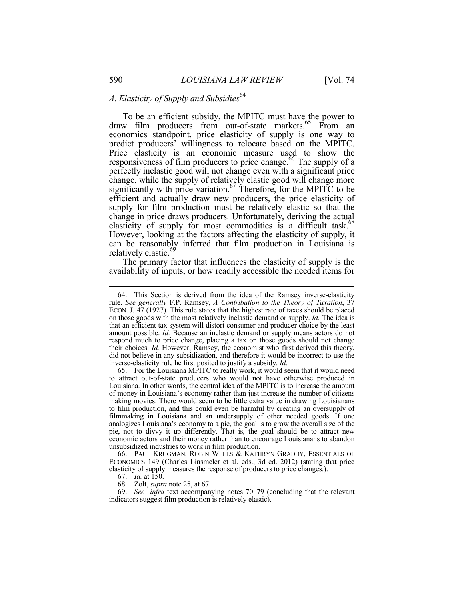## A. Elasticity of Supply and Subsidies<sup>64</sup>

To be an efficient subsidy, the MPITC must have the power to draw film producers from out-of-state markets.<sup>65</sup> From an economics standpoint, price elasticity of supply is one way to predict producers' willingness to relocate based on the MPITC. Price elasticity is an economic measure used to show the responsiveness of film producers to price change.<sup>66</sup> The supply of a perfectly inelastic good will not change even with a significant price change, while the supply of relatively elastic good will change more significantly with price variation.<sup>67</sup> Therefore, for the MPITC to be efficient and actually draw new producers, the price elasticity of supply for film production must be relatively elastic so that the change in price draws producers. Unfortunately, deriving the actual elasticity of supply for most commodities is a difficult task.<sup>68</sup> However, looking at the factors affecting the elasticity of supply, it can be reasonably inferred that film production in Louisiana is relatively elastic.<sup>69</sup>

The primary factor that influences the elasticity of supply is the availability of inputs, or how readily accessible the needed items for

 66. PAUL KRUGMAN, ROBIN WELLS & KATHRYN GRADDY, ESSENTIALS OF ECONOMICS 149 (Charles Linsmeler et al. eds., 3d ed. 2012) (stating that price elasticity of supply measures the response of producers to price changes.).

67. *Id.* at 150.

68. Zolt, *supra* note 25, at 67.

 69. *See infra* text accompanying notes 70–79 (concluding that the relevant indicators suggest film production is relatively elastic).

 <sup>64.</sup> This Section is derived from the idea of the Ramsey inverse-elasticity rule. *See generally* F.P. Ramsey, *A Contribution to the Theory of Taxation*, 37 ECON. J. 47 (1927). This rule states that the highest rate of taxes should be placed on those goods with the most relatively inelastic demand or supply. *Id.* The idea is that an efficient tax system will distort consumer and producer choice by the least amount possible. *Id.* Because an inelastic demand or supply means actors do not respond much to price change, placing a tax on those goods should not change their choices. *Id.* However, Ramsey, the economist who first derived this theory, did not believe in any subsidization, and therefore it would be incorrect to use the inverse-elasticity rule he first posited to justify a subsidy. *Id.* 

 <sup>65.</sup> For the Louisiana MPITC to really work, it would seem that it would need to attract out-of-state producers who would not have otherwise produced in Louisiana. In other words, the central idea of the MPITC is to increase the amount of money in Louisiana's economy rather than just increase the number of citizens making movies. There would seem to be little extra value in drawing Louisianans to film production, and this could even be harmful by creating an oversupply of filmmaking in Louisiana and an undersupply of other needed goods. If one analogizes Louisiana's economy to a pie, the goal is to grow the overall size of the pie, not to divvy it up differently. That is, the goal should be to attract new economic actors and their money rather than to encourage Louisianans to abandon unsubsidized industries to work in film production.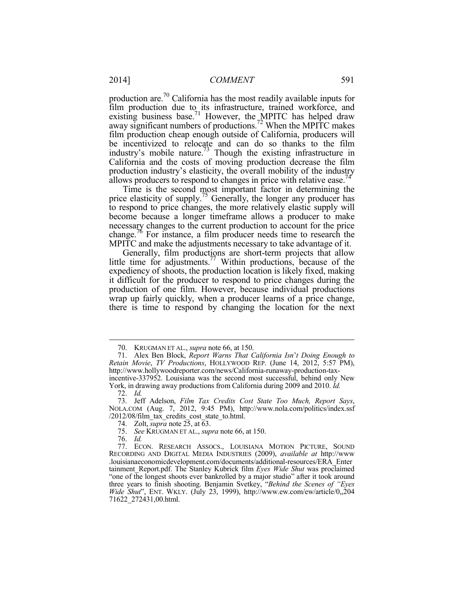production are.<sup>70</sup> California has the most readily available inputs for film production due to its infrastructure, trained workforce, and existing business base.<sup>71</sup> However, the MPITC has helped draw away significant numbers of productions.<sup>72</sup> When the MPITC makes film production cheap enough outside of California, producers will be incentivized to relocate and can do so thanks to the film industry's mobile nature.<sup>73</sup> Though the existing infrastructure in California and the costs of moving production decrease the film production industry's elasticity, the overall mobility of the industry allows producers to respond to changes in price with relative ease.<sup>74</sup>

Time is the second most important factor in determining the price elasticity of supply.<sup>75</sup> Generally, the longer any producer has to respond to price changes, the more relatively elastic supply will become because a longer timeframe allows a producer to make necessary changes to the current production to account for the price change.<sup>76</sup> For instance, a film producer needs time to research the MPITC and make the adjustments necessary to take advantage of it.

Generally, film productions are short-term projects that allow little time for adjustments.<sup>77</sup> Within productions, because of the expediency of shoots, the production location is likely fixed, making it difficult for the producer to respond to price changes during the production of one film. However, because individual productions wrap up fairly quickly, when a producer learns of a price change, there is time to respond by changing the location for the next

<u>.</u>

 <sup>70.</sup> KRUGMAN ET AL., *supra* note 66, at 150.

 <sup>71.</sup> Alex Ben Block, *Report Warns That California Isn*'*t Doing Enough to Retain Movie*, *TV Productions*, HOLLYWOOD REP. (June 14, 2012, 5:57 PM), http://www.hollywoodreporter.com/news/California-runaway-production-taxincentive-337952. Louisiana was the second most successful, behind only New

York, in drawing away productions from California during 2009 and 2010. *Id.* 72. *Id.*

 <sup>73.</sup> Jeff Adelson, *Film Tax Credits Cost State Too Much, Report Says*, NOLA.COM (Aug. 7, 2012, 9:45 PM), http://www.nola.com/politics/index.ssf /2012/08/film\_tax\_credits\_cost\_state\_to.html.

 <sup>74.</sup> Zolt, *supra* note 25, at 63.

 <sup>75.</sup> *See* KRUGMAN ET AL., *supra* note 66, at 150.

 <sup>76.</sup> *Id.*

 <sup>77.</sup> ECON. RESEARCH ASSOCS., LOUISIANA MOTION PICTURE, SOUND RECORDING AND DIGITAL MEDIA INDUSTRIES (2009), *available at* http://www .louisianaeconomicdevelopment.com/documents/additional-resources/ERA\_Enter tainment\_Report.pdf. The Stanley Kubrick film *Eyes Wide Shut* was proclaimed "one of the longest shoots ever bankrolled by a major studio" after it took around three years to finish shooting. Benjamin Svetkey, "*Behind the Scenes of "Eyes Wide Shut*", ENT. WKLY. (July 23, 1999), http://www.ew.com/ew/article/0,,204 71622\_272431,00.html.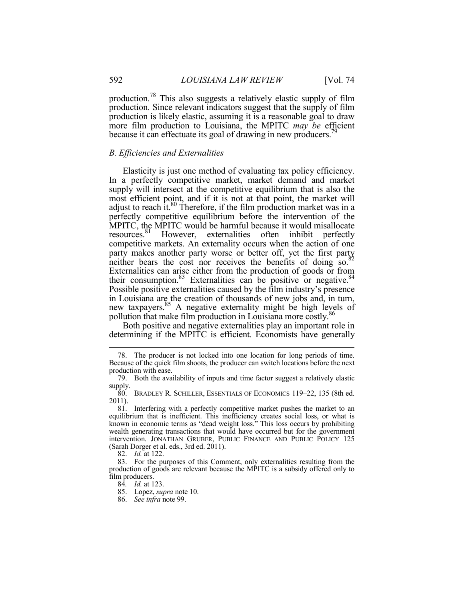production.<sup>78</sup> This also suggests a relatively elastic supply of film production. Since relevant indicators suggest that the supply of film production is likely elastic, assuming it is a reasonable goal to draw more film production to Louisiana, the MPITC *may be* efficient because it can effectuate its goal of drawing in new producers.<sup>79</sup>

#### *B. Efficiencies and Externalities*

Elasticity is just one method of evaluating tax policy efficiency. In a perfectly competitive market, market demand and market supply will intersect at the competitive equilibrium that is also the most efficient point, and if it is not at that point, the market will adjust to reach it. $80$  Therefore, if the film production market was in a perfectly competitive equilibrium before the intervention of the MPITC, the MPITC would be harmful because it would misallocate<br>resources.<sup>81</sup> However, externalities often inhibit perfectly However, externalities often inhibit perfectly competitive markets. An externality occurs when the action of one party makes another party worse or better off, yet the first party neither bears the cost nor receives the benefits of doing so. $82$ Externalities can arise either from the production of goods or from their consumption. $83$  Externalities can be positive or negative. $84$ Possible positive externalities caused by the film industry's presence in Louisiana are the creation of thousands of new jobs and, in turn, new taxpayers.<sup>85</sup> A negative externality might be high levels of pollution that make film production in Louisiana more costly.<sup>86</sup>

Both positive and negative externalities play an important role in determining if the MPITC is efficient. Economists have generally

 <sup>78.</sup> The producer is not locked into one location for long periods of time. Because of the quick film shoots, the producer can switch locations before the next production with ease.

 <sup>79.</sup> Both the availability of inputs and time factor suggest a relatively elastic supply.

 <sup>80.</sup> BRADLEY R. SCHILLER, ESSENTIALS OF ECONOMICS 119–22, 135 (8th ed. 2011).

 <sup>81.</sup> Interfering with a perfectly competitive market pushes the market to an equilibrium that is inefficient. This inefficiency creates social loss, or what is known in economic terms as "dead weight loss." This loss occurs by prohibiting wealth generating transactions that would have occurred but for the government intervention. JONATHAN GRUBER, PUBLIC FINANCE AND PUBLIC POLICY 125 (Sarah Dorger et al. eds., 3rd ed. 2011).

 <sup>82.</sup> *Id.* at 122.

 <sup>83.</sup> For the purposes of this Comment, only externalities resulting from the production of goods are relevant because the MPITC is a subsidy offered only to film producers.

<sup>84</sup>*. Id.* at 123.

 <sup>85.</sup> Lopez, *supra* note 10.

 <sup>86.</sup> *See infra* note 99.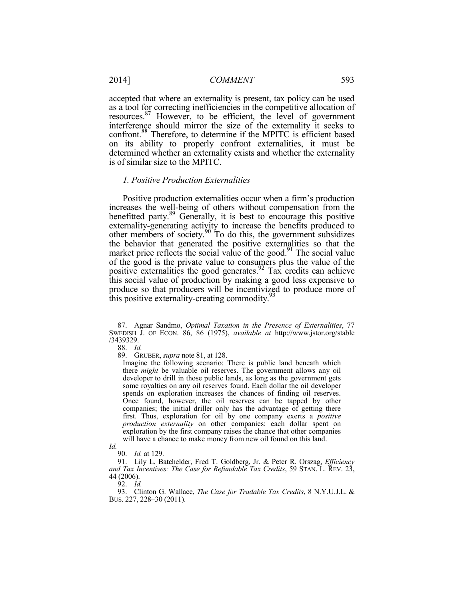accepted that where an externality is present, tax policy can be used as a tool for correcting inefficiencies in the competitive allocation of resources.<sup>87</sup> However, to be efficient, the level of government interference should mirror the size of the externality it seeks to confront.<sup>88</sup> Therefore, to determine if the MPITC is efficient based on its ability to properly confront externalities, it must be determined whether an externality exists and whether the externality is of similar size to the MPITC.

#### *1. Positive Production Externalities*

Positive production externalities occur when a firm's production increases the well-being of others without compensation from the benefitted party.<sup>89</sup> Generally, it is best to encourage this positive externality-generating activity to increase the benefits produced to other members of society. $90<sup>30</sup>$  To do this, the government subsidizes the behavior that generated the positive externalities so that the market price reflects the social value of the good.<sup>91</sup> The social value of the good is the private value to consumers plus the value of the positive externalities the good generates.<sup>92</sup> Tax credits can achieve this social value of production by making a good less expensive to produce so that producers will be incentivized to produce more of this positive externality-creating commodity.<sup>93</sup>

<u>.</u>

92. *Id.* 

 <sup>87.</sup> Agnar Sandmo, *Optimal Taxation in the Presence of Externalities*, 77 SWEDISH J. OF ECON. 86, 86 (1975), *available at* http://www.jstor.org/stable /3439329.

 <sup>88.</sup> *Id.*

 <sup>89.</sup> GRUBER, *supra* note 81, at 128.

Imagine the following scenario: There is public land beneath which there *might* be valuable oil reserves. The government allows any oil developer to drill in those public lands, as long as the government gets some royalties on any oil reserves found. Each dollar the oil developer spends on exploration increases the chances of finding oil reserves. Once found, however, the oil reserves can be tapped by other companies; the initial driller only has the advantage of getting there first. Thus, exploration for oil by one company exerts a *positive production externality* on other companies: each dollar spent on exploration by the first company raises the chance that other companies will have a chance to make money from new oil found on this land.

*Id.* 

 <sup>90.</sup> *Id.* at 129.

 <sup>91.</sup> Lily L. Batchelder, Fred T. Goldberg, Jr. & Peter R. Orszag, *Efficiency and Tax Incentives: The Case for Refundable Tax Credits*, 59 STAN. L. REV. 23, 44 (2006).

 <sup>93.</sup> Clinton G. Wallace, *The Case for Tradable Tax Credits*, 8 N.Y.U.J.L. & BUS. 227, 228–30 (2011).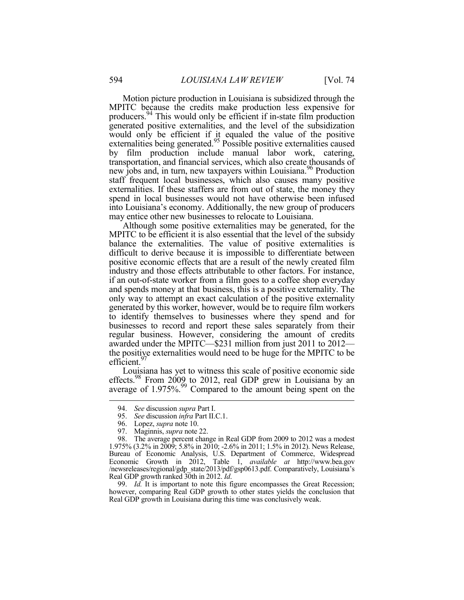Motion picture production in Louisiana is subsidized through the MPITC because the credits make production less expensive for producers.<sup>94</sup> This would only be efficient if in-state film production generated positive externalities, and the level of the subsidization would only be efficient if it equaled the value of the positive externalities being generated.<sup>95</sup> Possible positive externalities caused by film production include manual labor work, catering, transportation, and financial services, which also create thousands of new jobs and, in turn, new taxpayers within Louisiana.<sup>96</sup> Production staff frequent local businesses, which also causes many positive externalities. If these staffers are from out of state, the money they spend in local businesses would not have otherwise been infused into Louisiana's economy. Additionally, the new group of producers may entice other new businesses to relocate to Louisiana.

Although some positive externalities may be generated, for the MPITC to be efficient it is also essential that the level of the subsidy balance the externalities. The value of positive externalities is difficult to derive because it is impossible to differentiate between positive economic effects that are a result of the newly created film industry and those effects attributable to other factors. For instance, if an out-of-state worker from a film goes to a coffee shop everyday and spends money at that business, this is a positive externality. The only way to attempt an exact calculation of the positive externality generated by this worker, however, would be to require film workers to identify themselves to businesses where they spend and for businesses to record and report these sales separately from their regular business. However, considering the amount of credits awarded under the MPITC—\$231 million from just 2011 to 2012 the positive externalities would need to be huge for the MPITC to be efficient.<sup>97</sup>

Louisiana has yet to witness this scale of positive economic side effects.<sup>98</sup> From 2009 to 2012, real GDP grew in Louisiana by an average of 1.975%.<sup>99</sup> Compared to the amount being spent on the

1

 99. *Id.* It is important to note this figure encompasses the Great Recession; however, comparing Real GDP growth to other states yields the conclusion that Real GDP growth in Louisiana during this time was conclusively weak.

 <sup>94.</sup> *See* discussion *supra* Part I.

 <sup>95.</sup> *See* discussion *infra* Part II.C.1.

 <sup>96.</sup> Lopez, *supra* note 10.

 <sup>97.</sup> Maginnis, *supra* note 22.

 <sup>98.</sup> The average percent change in Real GDP from 2009 to 2012 was a modest 1.975% (3.2% in 2009; 5.8% in 2010; -2.6% in 2011; 1.5% in 2012). News Release, Bureau of Economic Analysis, U.S. Department of Commerce, Widespread Economic Growth in 2012, Table 1, *available at* http://www.bea.gov /newsreleases/regional/gdp\_state/2013/pdf/gsp0613.pdf. Comparatively, Louisiana's Real GDP growth ranked 30th in 2012. *Id*.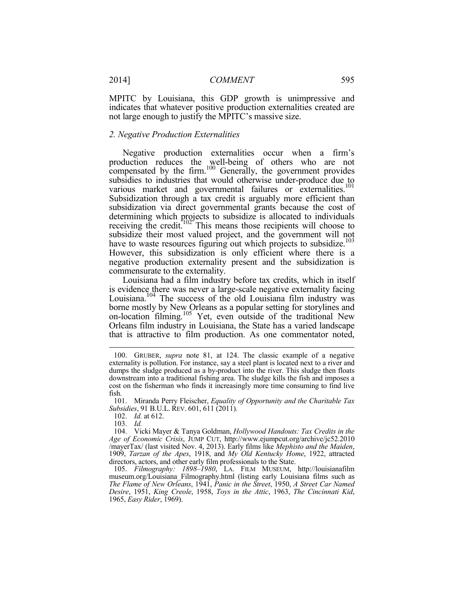2014] *COMMENT* 595

MPITC by Louisiana, this GDP growth is unimpressive and indicates that whatever positive production externalities created are not large enough to justify the MPITC's massive size.

#### *2. Negative Production Externalities*

Negative production externalities occur when a firm's production reduces the well-being of others who are not compensated by the firm.<sup>100</sup> Generally, the government provides subsidies to industries that would otherwise under-produce due to various market and governmental failures or externalities.<sup>101</sup> Subsidization through a tax credit is arguably more efficient than subsidization via direct governmental grants because the cost of determining which projects to subsidize is allocated to individuals receiving the credit.<sup>102</sup> This means those recipients will choose to subsidize their most valued project, and the government will not have to waste resources figuring out which projects to subsidize.<sup>103</sup> However, this subsidization is only efficient where there is a negative production externality present and the subsidization is commensurate to the externality.

Louisiana had a film industry before tax credits, which in itself is evidence there was never a large-scale negative externality facing Louisiana.<sup>104</sup> The success of the old Louisiana film industry was borne mostly by New Orleans as a popular setting for storylines and on-location filming.<sup>105</sup> Yet, even outside of the traditional New Orleans film industry in Louisiana, the State has a varied landscape that is attractive to film production. As one commentator noted,

 <sup>100.</sup> GRUBER, *supra* note 81, at 124. The classic example of a negative externality is pollution. For instance, say a steel plant is located next to a river and dumps the sludge produced as a by-product into the river. This sludge then floats downstream into a traditional fishing area. The sludge kills the fish and imposes a cost on the fisherman who finds it increasingly more time consuming to find live fish.

 <sup>101.</sup> Miranda Perry Fleischer, *Equality of Opportunity and the Charitable Tax Subsidies*, 91 B.U.L. REV. 601, 611 (2011).

 <sup>102.</sup> *Id.* at 612.

 <sup>103.</sup> *Id.*

 <sup>104.</sup> Vicki Mayer & Tanya Goldman, *Hollywood Handouts: Tax Credits in the Age of Economic Crisis*, JUMP CUT, http://www.ejumpcut.org/archive/jc52.2010 /mayerTax/ (last visited Nov. 4, 2013). Early films like *Mephisto and the Maiden*, 1909, *Tarzan of the Apes*, 1918, and *My Old Kentucky Home*, 1922, attracted directors, actors, and other early film professionals to the State.

 <sup>105.</sup> *Filmography: 1898–1980*, LA. FILM MUSEUM, http://louisianafilm museum.org/Louisiana\_Filmography.html (listing early Louisiana films such as *The Flame of New Orleans*, 1941, *Panic in the Street*, 1950, *A Street Car Named Desire*, 1951, *King Creole*, 1958, *Toys in the Attic*, 1963, *The Cincinnati Kid*, 1965, *Easy Rider*, 1969).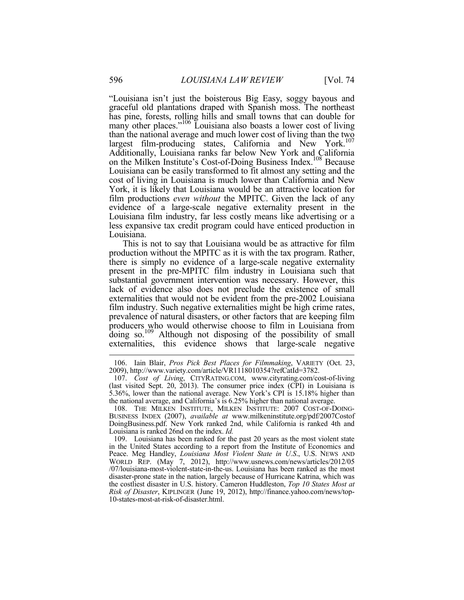"Louisiana isn't just the boisterous Big Easy, soggy bayous and graceful old plantations draped with Spanish moss. The northeast has pine, forests, rolling hills and small towns that can double for many other places."<sup>106</sup> Louisiana also boasts a lower cost of living than the national average and much lower cost of living than the two largest film-producing states, California and New York.<sup>107</sup> Additionally, Louisiana ranks far below New York and California on the Milken Institute's Cost-of-Doing Business Index.<sup>108</sup> Because Louisiana can be easily transformed to fit almost any setting and the cost of living in Louisiana is much lower than California and New York, it is likely that Louisiana would be an attractive location for film productions *even without* the MPITC. Given the lack of any evidence of a large-scale negative externality present in the Louisiana film industry, far less costly means like advertising or a less expansive tax credit program could have enticed production in Louisiana.

This is not to say that Louisiana would be as attractive for film production without the MPITC as it is with the tax program. Rather, there is simply no evidence of a large-scale negative externality present in the pre-MPITC film industry in Louisiana such that substantial government intervention was necessary. However, this lack of evidence also does not preclude the existence of small externalities that would not be evident from the pre-2002 Louisiana film industry. Such negative externalities might be high crime rates, prevalence of natural disasters, or other factors that are keeping film producers who would otherwise choose to film in Louisiana from doing so.<sup>109</sup> Although not disposing of the possibility of small externalities, this evidence shows that large-scale negative

 <sup>106.</sup> Iain Blair, *Pros Pick Best Places for Filmmaking*, VARIETY (Oct. 23, 2009), http://www.variety.com/article/VR1118010354?refCatId=3782.

 <sup>107.</sup> *Cost of Living*, CITYRATING.COM, www.cityrating.com/cost-of-living (last visited Sept. 20, 2013). The consumer price index (CPI) in Louisiana is 5.36%, lower than the national average. New York's CPI is 15.18% higher than the national average, and California's is 6.25% higher than national average.

<sup>108.</sup> THE MILKEN INSTITUTE, MILKEN INSTITUTE: 2007 COST-OF-DOING-BUSINESS INDEX (2007), *available at* www.milkeninstitute.org/pdf/2007Costof DoingBusiness.pdf. New York ranked 2nd, while California is ranked 4th and Louisiana is ranked 26nd on the index. *Id.*

 <sup>109.</sup> Louisiana has been ranked for the past 20 years as the most violent state in the United States according to a report from the Institute of Economics and Peace. Meg Handley, *Louisiana Most Violent State in U.S*., U.S. NEWS AND WORLD REP. (May 7, 2012), http://www.usnews.com/news/articles/2012/05 /07/louisiana-most-violent-state-in-the-us. Louisiana has been ranked as the most disaster-prone state in the nation, largely because of Hurricane Katrina, which was the costliest disaster in U.S. history. Cameron Huddleston, *Top 10 States Most at Risk of Disaster*, KIPLINGER (June 19, 2012), http://finance.yahoo.com/news/top-10-states-most-at-risk-of-disaster.html.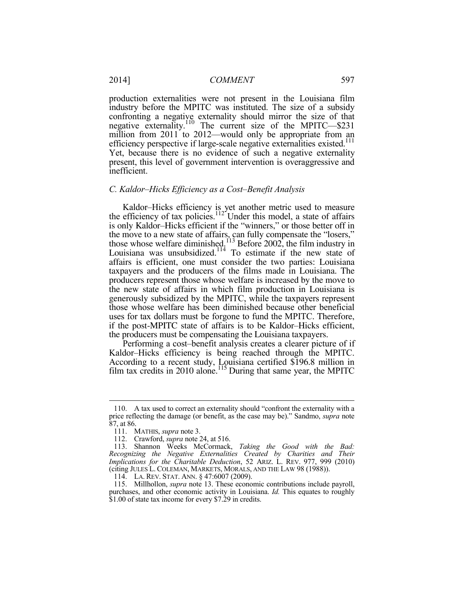production externalities were not present in the Louisiana film industry before the MPITC was instituted. The size of a subsidy confronting a negative externality should mirror the size of that negative externality.<sup>110</sup> The current size of the MPITC—\$231 million from 2011 to 2012—would only be appropriate from an efficiency perspective if large-scale negative externalities existed.<sup>111</sup> Yet, because there is no evidence of such a negative externality present, this level of government intervention is overaggressive and inefficient.

#### *C. Kaldor–Hicks Efficiency as a Cost–Benefit Analysis*

Kaldor–Hicks efficiency is yet another metric used to measure the efficiency of tax policies.<sup>112</sup> Under this model, a state of affairs is only Kaldor–Hicks efficient if the "winners," or those better off in the move to a new state of affairs, can fully compensate the "losers," those whose welfare diminished.<sup>113</sup> Before 2002, the film industry in Louisiana was unsubsidized. $114$  To estimate if the new state of affairs is efficient, one must consider the two parties: Louisiana taxpayers and the producers of the films made in Louisiana. The producers represent those whose welfare is increased by the move to the new state of affairs in which film production in Louisiana is generously subsidized by the MPITC, while the taxpayers represent those whose welfare has been diminished because other beneficial uses for tax dollars must be forgone to fund the MPITC. Therefore, if the post-MPITC state of affairs is to be Kaldor–Hicks efficient, the producers must be compensating the Louisiana taxpayers.

Performing a cost–benefit analysis creates a clearer picture of if Kaldor–Hicks efficiency is being reached through the MPITC. According to a recent study, Louisiana certified \$196.8 million in film tax credits in 2010 alone.<sup>115</sup> During that same year, the MPITC

 <sup>110.</sup> A tax used to correct an externality should "confront the externality with a price reflecting the damage (or benefit, as the case may be)." Sandmo, *supra* note 87, at 86.

 <sup>111.</sup> MATHIS, *supra* note 3.

 <sup>112.</sup> Crawford, *supra* note 24, at 516.

 <sup>113.</sup> Shannon Weeks McCormack, *Taking the Good with the Bad: Recognizing the Negative Externalities Created by Charities and Their Implications for the Charitable Deduction*, 52 ARIZ. L. REV. 977, 999 (2010) (citing JULES L. COLEMAN, MARKETS, MORALS, AND THE LAW 98 (1988)).

 <sup>114.</sup> LA. REV. STAT. ANN. § 47:6007 (2009).

 <sup>115.</sup> Millhollon, *supra* note 13. These economic contributions include payroll, purchases, and other economic activity in Louisiana. *Id.* This equates to roughly \$1.00 of state tax income for every \$7.29 in credits.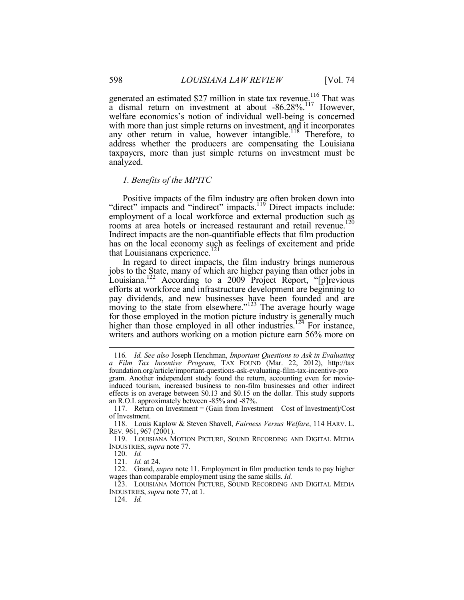generated an estimated \$27 million in state tax revenue.<sup>116</sup> That was a dismal return on investment at about -86.28%.<sup>117</sup> However, welfare economics's notion of individual well-being is concerned with more than just simple returns on investment, and it incorporates any other return in value, however intangible.<sup>118</sup> Therefore, to address whether the producers are compensating the Louisiana taxpayers, more than just simple returns on investment must be analyzed.

#### *1. Benefits of the MPITC*

Positive impacts of the film industry are often broken down into "direct" impacts and "indirect" impacts.<sup>119</sup> Direct impacts include: employment of a local workforce and external production such as rooms at area hotels or increased restaurant and retail revenue.<sup>120</sup> Indirect impacts are the non-quantifiable effects that film production has on the local economy such as feelings of excitement and pride that Louisianans experience. $^{121}$ 

In regard to direct impacts, the film industry brings numerous jobs to the State, many of which are higher paying than other jobs in Louisiana.<sup>122</sup> According to a 2009 Project Report, "[p]revious efforts at workforce and infrastructure development are beginning to pay dividends, and new businesses have been founded and are moving to the state from elsewhere."<sup>123</sup> The average hourly wage for those employed in the motion picture industry is generally much higher than those employed in all other industries.<sup>124</sup> For instance, writers and authors working on a motion picture earn 56% more on

1

124. *Id.*

<sup>116</sup>*. Id. See also* Joseph Henchman, *Important Questions to Ask in Evaluating a Film Tax Incentive Program*, TAX FOUND (Mar. 22, 2012), http://tax foundation.org/article/important-questions-ask-evaluating-film-tax-incentive-pro gram. Another independent study found the return, accounting even for movieinduced tourism, increased business to non-film businesses and other indirect effects is on average between \$0.13 and \$0.15 on the dollar. This study supports an R.O.I. approximately between -85% and -87%.

 <sup>117.</sup> Return on Investment = (Gain from Investment – Cost of Investment)/Cost of Investment.

 <sup>118.</sup> Louis Kaplow & Steven Shavell, *Fairness Versus Welfare*, 114 HARV. L. REV. 961, 967 (2001).

 <sup>119.</sup> LOUISIANA MOTION PICTURE, SOUND RECORDING AND DIGITAL MEDIA INDUSTRIES, *supra* note 77.

 <sup>120.</sup> *Id.*

 <sup>121.</sup> *Id.* at 24.

 <sup>122.</sup> Grand, *supra* note 11. Employment in film production tends to pay higher wages than comparable employment using the same skills. *Id.*

 <sup>123.</sup> LOUISIANA MOTION PICTURE, SOUND RECORDING AND DIGITAL MEDIA INDUSTRIES, *supra* note 77, at 1.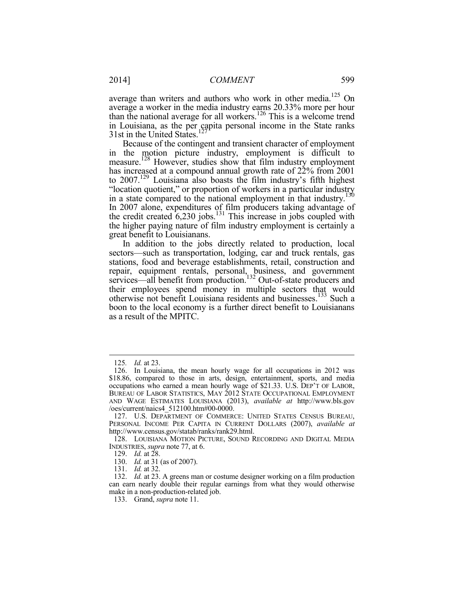average than writers and authors who work in other media.<sup>125</sup> On average a worker in the media industry earns 20.33% more per hour than the national average for all workers.<sup>126</sup> This is a welcome trend in Louisiana, as the per capita personal income in the State ranks  $31st$  in the United States.<sup>127</sup>

Because of the contingent and transient character of employment in the motion picture industry, employment is difficult to measure.<sup>128</sup> However, studies show that film industry employment has increased at a compound annual growth rate of  $22\%$  from 2001 to 2007.<sup>129</sup> Louisiana also boasts the film industry's fifth highest "location quotient," or proportion of workers in a particular industry in a state compared to the national employment in that industry.<sup>130</sup> In 2007 alone, expenditures of film producers taking advantage of the credit created  $6,230$  jobs.<sup>131</sup> This increase in jobs coupled with the higher paying nature of film industry employment is certainly a great benefit to Louisianans.

In addition to the jobs directly related to production, local sectors—such as transportation, lodging, car and truck rentals, gas stations, food and beverage establishments, retail, construction and repair, equipment rentals, personal, business, and government services—all benefit from production.<sup>132</sup> Out-of-state producers and their employees spend money in multiple sectors that would otherwise not benefit Louisiana residents and businesses.<sup>133</sup> Such a boon to the local economy is a further direct benefit to Louisianans as a result of the MPITC.

<sup>125</sup>*. Id.* at 23.

 <sup>126.</sup> In Louisiana, the mean hourly wage for all occupations in 2012 was \$18.86, compared to those in arts, design, entertainment, sports, and media occupations who earned a mean hourly wage of \$21.33. U.S. DEP'T OF LABOR, BUREAU OF LABOR STATISTICS, MAY 2012 STATE OCCUPATIONAL EMPLOYMENT AND WAGE ESTIMATES LOUISIANA (2013), *available at* http://www.bls.gov /oes/current/naics4\_512100.htm#00-0000.

<sup>127.</sup> U.S. DEPARTMENT OF COMMERCE: UNITED STATES CENSUS BUREAU, PERSONAL INCOME PER CAPITA IN CURRENT DOLLARS (2007), *available at* http://www.census.gov/statab/ranks/rank29.html.

 <sup>128.</sup> LOUISIANA MOTION PICTURE, SOUND RECORDING AND DIGITAL MEDIA INDUSTRIES, *supra* note 77, at 6.

 <sup>129.</sup> *Id.* at 28.

 <sup>130.</sup> *Id.* at 31 (as of 2007).

 <sup>131.</sup> *Id.* at 32.

 <sup>132.</sup> *Id.* at 23. A greens man or costume designer working on a film production can earn nearly double their regular earnings from what they would otherwise make in a non-production-related job.

 <sup>133.</sup> Grand, *supra* note 11.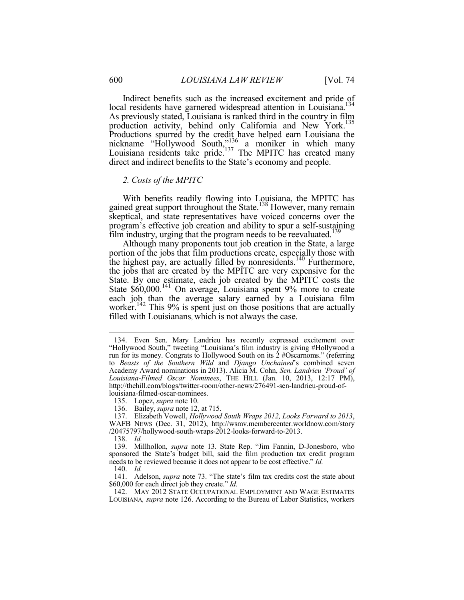Indirect benefits such as the increased excitement and pride of local residents have garnered widespread attention in Louisiana.<sup>134</sup> As previously stated, Louisiana is ranked third in the country in film production activity, behind only California and New York.<sup>135</sup> Productions spurred by the credit have helped earn Louisiana the nickname "Hollywood South,"<sup>136</sup> a moniker in which many Louisiana residents take pride.<sup>137</sup> The MPITC has created many direct and indirect benefits to the State's economy and people.

#### *2. Costs of the MPITC*

With benefits readily flowing into Louisiana, the MPITC has gained great support throughout the State.<sup>138</sup> However, many remain skeptical, and state representatives have voiced concerns over the program's effective job creation and ability to spur a self-sustaining film industry, urging that the program needs to be reevaluated.<sup>139</sup>

Although many proponents tout job creation in the State, a large portion of the jobs that film productions create, especially those with the highest pay, are actually filled by nonresidents.<sup>140</sup> Furthermore, the jobs that are created by the MPITC are very expensive for the State. By one estimate, each job created by the MPITC costs the State \$60,000.<sup>141</sup> On average, Louisiana spent 9% more to create each job than the average salary earned by a Louisiana film worker.<sup>142</sup> This 9% is spent just on those positions that are actually filled with Louisianans, which is not always the case.

138. *Id.*

1

 139. Millhollon, *supra* note 13. State Rep. "Jim Fannin, D-Jonesboro, who sponsored the State's budget bill, said the film production tax credit program needs to be reviewed because it does not appear to be cost effective." *Id.*

140. *Id.* 

 141. Adelson, *supra* note 73. "The state's film tax credits cost the state about \$60,000 for each direct job they create." *Id.*

 142. MAY 2012 STATE OCCUPATIONAL EMPLOYMENT AND WAGE ESTIMATES LOUISIANA*, supra* note 126. According to the Bureau of Labor Statistics, workers

 <sup>134.</sup> Even Sen. Mary Landrieu has recently expressed excitement over "Hollywood South," tweeting "Louisiana's film industry is giving #Hollywood a run for its money. Congrats to Hollywood South on its 2 #Oscarnoms." (referring to *Beasts of the Southern Wild* and *Django Unchained*'s combined seven Academy Award nominations in 2013). Alicia M. Cohn, *Sen. Landrieu 'Proud' of Louisiana-Filmed Oscar Nominees*, THE HILL (Jan. 10, 2013, 12:17 PM), http://thehill.com/blogs/twitter-room/other-news/276491-sen-landrieu-proud-oflouisiana-filmed-oscar-nominees.

 <sup>135.</sup> Lopez, *supra* note 10.

 <sup>136.</sup> Bailey, *supra* note 12, at 715.

 <sup>137.</sup> Elizabeth Vowell, *Hollywood South Wraps 2012, Looks Forward to 2013*, WAFB NEWS (Dec. 31, 2012), http://wsmv.membercenter.worldnow.com/story /20475797/hollywood-south-wraps-2012-looks-forward-to-2013.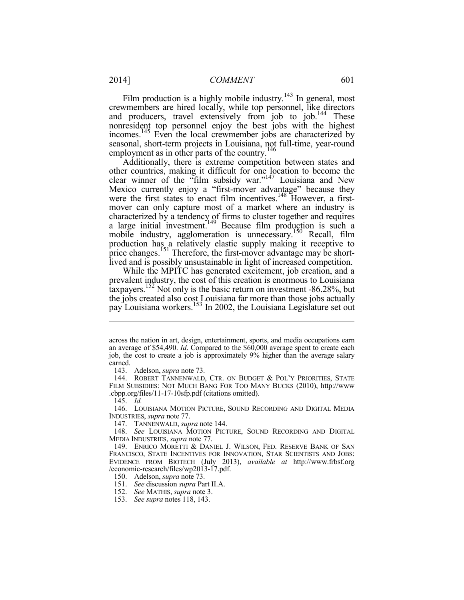Film production is a highly mobile industry.<sup>143</sup> In general, most crewmembers are hired locally, while top personnel, like directors and producers, travel extensively from job to job.<sup>144</sup> These nonresident top personnel enjoy the best jobs with the highest incomes.<sup>145</sup> Even the local crewmember jobs are characterized by seasonal, short-term projects in Louisiana, not full-time, year-round employment as in other parts of the country.<sup>146</sup>

Additionally, there is extreme competition between states and other countries, making it difficult for one location to become the clear winner of the "film subsidy war."<sup>147</sup> Louisiana and New Mexico currently enjoy a "first-mover advantage" because they were the first states to enact film incentives.<sup>148</sup> However, a firstmover can only capture most of a market where an industry is characterized by a tendency of firms to cluster together and requires a large initial investment.<sup>149</sup> Because film production is such a mobile industry, agglomeration is unnecessary.<sup>150</sup> Recall, film production has a relatively elastic supply making it receptive to price changes.<sup>151</sup> Therefore, the first-mover advantage may be shortlived and is possibly unsustainable in light of increased competition.

While the MPITC has generated excitement, job creation, and a prevalent industry, the cost of this creation is enormous to Louisiana taxpayers.<sup>152</sup> Not only is the basic return on investment -86.28%, but the jobs created also cost Louisiana far more than those jobs actually pay Louisiana workers.<sup>153</sup> In 2002, the Louisiana Legislature set out

1

 146. LOUISIANA MOTION PICTURE, SOUND RECORDING AND DIGITAL MEDIA INDUSTRIES, *supra* note 77.

147. TANNENWALD, *supra* note 144.

 148. *See* LOUISIANA MOTION PICTURE, SOUND RECORDING AND DIGITAL MEDIA INDUSTRIES, *supra* note 77.

150. Adelson, *supra* note 73.

151. *See* discussion *supra* Part II.A.

152. *See* MATHIS, *supra* note 3.

across the nation in art, design, entertainment, sports, and media occupations earn an average of \$54,490. *Id*. Compared to the \$60,000 average spent to create each job, the cost to create a job is approximately 9% higher than the average salary earned.

 <sup>143.</sup> Adelson, *supra* note 73.

 <sup>144.</sup> ROBERT TANNENWALD, CTR. ON BUDGET & POL'Y PRIORITIES, STATE FILM SUBSIDIES: NOT MUCH BANG FOR TOO MANY BUCKS (2010), http://www .cbpp.org/files/11-17-10sfp.pdf (citations omitted).

 <sup>145.</sup> *Id.* 

 <sup>149.</sup> ENRICO MORETTI & DANIEL J. WILSON, FED. RESERVE BANK OF SAN FRANCISCO, STATE INCENTIVES FOR INNOVATION, STAR SCIENTISTS AND JOBS: EVIDENCE FROM BIOTECH (July 2013), *available at* http://www.frbsf.org /economic-research/files/wp2013-17.pdf.

 <sup>153.</sup> *See supra* notes 118, 143.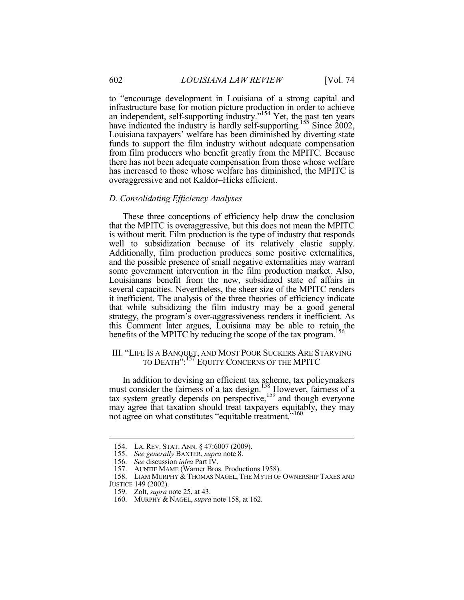to "encourage development in Louisiana of a strong capital and infrastructure base for motion picture production in order to achieve an independent, self-supporting industry."<sup>154</sup> Yet, the past ten years have indicated the industry is hardly self-supporting.<sup>155</sup> Since 2002, Louisiana taxpayers' welfare has been diminished by diverting state funds to support the film industry without adequate compensation from film producers who benefit greatly from the MPITC. Because there has not been adequate compensation from those whose welfare has increased to those whose welfare has diminished, the MPITC is overaggressive and not Kaldor–Hicks efficient.

#### *D. Consolidating Efficiency Analyses*

These three conceptions of efficiency help draw the conclusion that the MPITC is overaggressive, but this does not mean the MPITC is without merit. Film production is the type of industry that responds well to subsidization because of its relatively elastic supply. Additionally, film production produces some positive externalities, and the possible presence of small negative externalities may warrant some government intervention in the film production market. Also, Louisianans benefit from the new, subsidized state of affairs in several capacities. Nevertheless, the sheer size of the MPITC renders it inefficient. The analysis of the three theories of efficiency indicate that while subsidizing the film industry may be a good general strategy, the program's over-aggressiveness renders it inefficient. As this Comment later argues, Louisiana may be able to retain the benefits of the MPITC by reducing the scope of the tax program.<sup>156</sup>

### III. "LIFE IS A BANQUET, AND MOST POOR SUCKERS ARE STARVING TO DEATH":157 EQUITY CONCERNS OF THE MPITC

In addition to devising an efficient tax scheme, tax policymakers must consider the fairness of a tax design.<sup>158</sup> However, fairness of a tax system greatly depends on perspective,<sup>159</sup> and though everyone may agree that taxation should treat taxpayers equitably, they may not agree on what constitutes "equitable treatment."<sup>160</sup>

 <sup>154.</sup> LA. REV. STAT. ANN. § 47:6007 (2009).

 <sup>155.</sup> *See generally* BAXTER, *supra* note 8.

 <sup>156.</sup> *See* discussion *infra* Part IV.

 <sup>157.</sup> AUNTIE MAME (Warner Bros. Productions 1958).

 <sup>158.</sup> LIAM MURPHY & THOMAS NAGEL, THE MYTH OF OWNERSHIP TAXES AND JUSTICE 149 (2002).

 <sup>159.</sup> Zolt, *supra* note 25, at 43.

 <sup>160.</sup> MURPHY & NAGEL, *supra* note 158, at 162.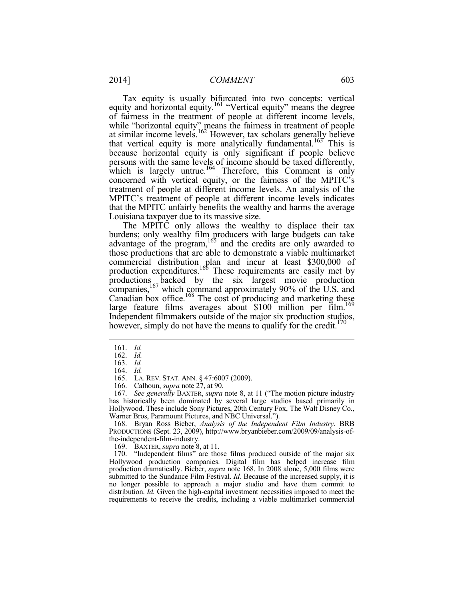Tax equity is usually bifurcated into two concepts: vertical equity and horizontal equity.<sup>161</sup> "Vertical equity" means the degree of fairness in the treatment of people at different income levels, while "horizontal equity" means the fairness in treatment of people at similar income levels.<sup>162</sup> However, tax scholars generally believe that vertical equity is more analytically fundamental.<sup>163</sup> This is because horizontal equity is only significant if people believe persons with the same levels of income should be taxed differently, which is largely untrue.<sup>164</sup> Therefore, this Comment is only concerned with vertical equity, or the fairness of the MPITC's treatment of people at different income levels. An analysis of the MPITC's treatment of people at different income levels indicates that the MPITC unfairly benefits the wealthy and harms the average Louisiana taxpayer due to its massive size.

The MPITC only allows the wealthy to displace their tax burdens; only wealthy film producers with large budgets can take advantage of the program, $165$  and the credits are only awarded to those productions that are able to demonstrate a viable multimarket commercial distribution plan and incur at least \$300,000 of production expenditures.<sup>166</sup> These requirements are easily met by productions backed by the six largest movie production companies,<sup>167</sup> which command approximately 90% of the U.S. and Canadian box office.<sup>168</sup> The cost of producing and marketing these large feature films averages about \$100 million per film.<sup>169</sup> Independent filmmakers outside of the major six production studios, however, simply do not have the means to qualify for the credit.<sup>17</sup>

<u>.</u>

 168. Bryan Ross Bieber, *Analysis of the Independent Film Industry*, BRB PRODUCTIONS (Sept. 23, 2009), http://www.bryanbieber.com/2009/09/analysis-ofthe-independent-film-industry.

169. BAXTER, *supra* note 8, at 11.

 170. "Independent films" are those films produced outside of the major six Hollywood production companies. Digital film has helped increase film production dramatically. Bieber, *supra* note 168. In 2008 alone, 5,000 films were submitted to the Sundance Film Festival. *Id.* Because of the increased supply, it is no longer possible to approach a major studio and have them commit to distribution. *Id.* Given the high-capital investment necessities imposed to meet the requirements to receive the credits, including a viable multimarket commercial

 <sup>161.</sup> *Id.*

 <sup>162.</sup> *Id.* 

 <sup>163.</sup> *Id.* 164. *Id.* 

 <sup>165.</sup> LA. REV. STAT. ANN. § 47:6007 (2009).

 <sup>166.</sup> Calhoun, *supra* note 27, at 90.

 <sup>167.</sup> *See generally* BAXTER, *supra* note 8, at 11 ("The motion picture industry has historically been dominated by several large studios based primarily in Hollywood. These include Sony Pictures, 20th Century Fox, The Walt Disney Co., Warner Bros, Paramount Pictures, and NBC Universal.").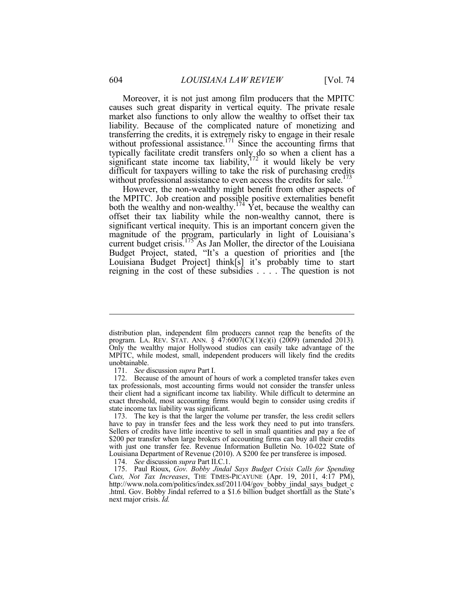Moreover, it is not just among film producers that the MPITC causes such great disparity in vertical equity. The private resale market also functions to only allow the wealthy to offset their tax liability. Because of the complicated nature of monetizing and transferring the credits, it is extremely risky to engage in their resale without professional assistance.<sup>171</sup> Since the accounting firms that typically facilitate credit transfers only do so when a client has a significant state income tax liability, $172$  it would likely be very difficult for taxpayers willing to take the risk of purchasing credits without professional assistance to even access the credits for sale.<sup>173</sup> However, the non-wealthy might benefit from other aspects of

the MPITC. Job creation and possible positive externalities benefit both the wealthy and non-wealthy.<sup>174</sup> Yet, because the wealthy can offset their tax liability while the non-wealthy cannot, there is significant vertical inequity. This is an important concern given the magnitude of the program, particularly in light of Louisiana's current budget crisis.<sup>175</sup> As Jan Moller, the director of the Louisiana Budget Project, stated, "It's a question of priorities and [the Louisiana Budget Project] think[s] it's probably time to start reigning in the cost of these subsidies . . . . The question is not

distribution plan, independent film producers cannot reap the benefits of the program. LA. REV. STAT. ANN. § 47:6007(C)(1)(c)(i) (2009) (amended 2013)*.*  Only the wealthy major Hollywood studios can easily take advantage of the MPITC, while modest, small, independent producers will likely find the credits unobtainable.

 <sup>171.</sup> *See* discussion *supra* Part I.

 <sup>172.</sup> Because of the amount of hours of work a completed transfer takes even tax professionals, most accounting firms would not consider the transfer unless their client had a significant income tax liability. While difficult to determine an exact threshold, most accounting firms would begin to consider using credits if state income tax liability was significant.

 <sup>173.</sup> The key is that the larger the volume per transfer, the less credit sellers have to pay in transfer fees and the less work they need to put into transfers. Sellers of credits have little incentive to sell in small quantities and pay a fee of \$200 per transfer when large brokers of accounting firms can buy all their credits with just one transfer fee. Revenue Information Bulletin No. 10-022 State of Louisiana Department of Revenue (2010). A \$200 fee per transferee is imposed.

 <sup>174.</sup> *See* discussion *supra* Part II.C.1.

 <sup>175.</sup> Paul Rioux, *Gov. Bobby Jindal Says Budget Crisis Calls for Spending Cuts, Not Tax Increases*, THE TIMES-PICAYUNE (Apr. 19, 2011, 4:17 PM), http://www.nola.com/politics/index.ssf/2011/04/gov\_bobby\_jindal\_says\_budget\_c .html. Gov. Bobby Jindal referred to a \$1.6 billion budget shortfall as the State's next major crisis. *Id.*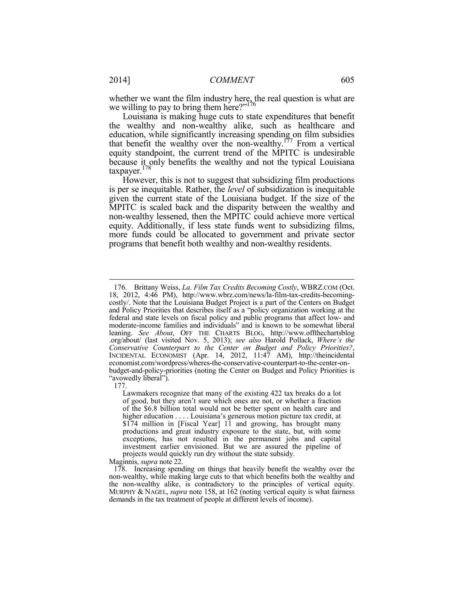whether we want the film industry here, the real question is what are we willing to pay to bring them here? $176$ 

Louisiana is making huge cuts to state expenditures that benefit the wealthy and non-wealthy alike, such as healthcare and education, while significantly increasing spending on film subsidies that benefit the wealthy over the non-wealthy.<sup>177</sup> From a vertical equity standpoint, the current trend of the MPITC is undesirable because it only benefits the wealthy and not the typical Louisiana taxpayer.<sup>178</sup>

However, this is not to suggest that subsidizing film productions is per se inequitable. Rather, the *level* of subsidization is inequitable given the current state of the Louisiana budget. If the size of the MPITC is scaled back and the disparity between the wealthy and non-wealthy lessened, then the MPITC could achieve more vertical equity. Additionally, if less state funds went to subsidizing films, more funds could be allocated to government and private sector programs that benefit both wealthy and non-wealthy residents.

177.

1

Maginnis, *supra* note 22.

 <sup>176.</sup> Brittany Weiss, *La. Film Tax Credits Becoming Costly*, WBRZ.COM (Oct. 18, 2012, 4:46 PM), http://www.wbrz.com/news/la-film-tax-credits-becomingcostly/. Note that the Louisiana Budget Project is a part of the Centers on Budget and Policy Priorities that describes itself as a "policy organization working at the federal and state levels on fiscal policy and public programs that affect low- and moderate-income families and individuals" and is known to be somewhat liberal leaning. *See About*, OFF THE CHARTS BLOG, http://www.offthechartsblog .org/about/ (last visited Nov. 5, 2013); *see also* Harold Pollack, *Where's the Conservative Counterpart to the Center on Budget and Policy Priorities?*, INCIDENTAL ECONOMIST (Apr. 14, 2012, 11:47 AM), http://theincidental economist.com/wordpress/wheres-the-conservative-counterpart-to-the-center-onbudget-and-policy-priorities (noting the Center on Budget and Policy Priorities is "avowedly liberal").

Lawmakers recognize that many of the existing 422 tax breaks do a lot of good, but they aren't sure which ones are not, or whether a fraction of the \$6.8 billion total would not be better spent on health care and higher education . . . . Louisiana's generous motion picture tax credit, at \$174 million in [Fiscal Year] 11 and growing, has brought many productions and great industry exposure to the state, but, with some exceptions, has not resulted in the permanent jobs and capital investment earlier envisioned. But we are assured the pipeline of projects would quickly run dry without the state subsidy.

 <sup>178.</sup> Increasing spending on things that heavily benefit the wealthy over the non-wealthy, while making large cuts to that which benefits both the wealthy and the non-wealthy alike, is contradictory to the principles of vertical equity. MURPHY & NAGEL, *supra* note 158, at 162 (noting vertical equity is what fairness demands in the tax treatment of people at different levels of income).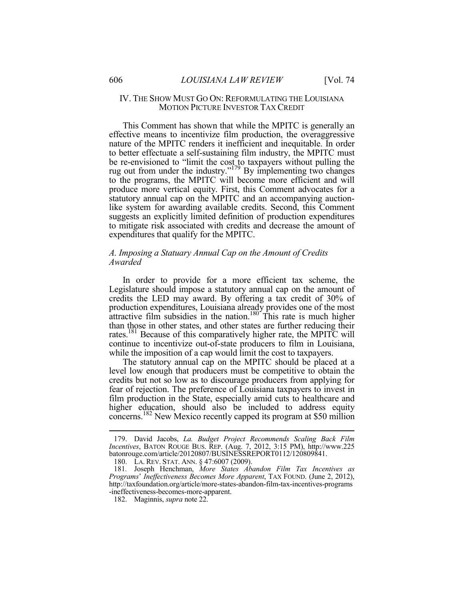#### IV. THE SHOW MUST GO ON: REFORMULATING THE LOUISIANA MOTION PICTURE INVESTOR TAX CREDIT

This Comment has shown that while the MPITC is generally an effective means to incentivize film production, the overaggressive nature of the MPITC renders it inefficient and inequitable. In order to better effectuate a self-sustaining film industry, the MPITC must be re-envisioned to "limit the cost to taxpayers without pulling the rug out from under the industry."<sup>179</sup> By implementing two changes to the programs, the MPITC will become more efficient and will produce more vertical equity. First, this Comment advocates for a statutory annual cap on the MPITC and an accompanying auctionlike system for awarding available credits. Second, this Comment suggests an explicitly limited definition of production expenditures to mitigate risk associated with credits and decrease the amount of expenditures that qualify for the MPITC.

#### *A. Imposing a Statuary Annual Cap on the Amount of Credits Awarded*

In order to provide for a more efficient tax scheme, the Legislature should impose a statutory annual cap on the amount of credits the LED may award. By offering a tax credit of 30% of production expenditures, Louisiana already provides one of the most attractive film subsidies in the nation.<sup>180</sup> This rate is much higher than those in other states, and other states are further reducing their rates.<sup>181</sup> Because of this comparatively higher rate, the MPITC will continue to incentivize out-of-state producers to film in Louisiana, while the imposition of a cap would limit the cost to taxpayers.

The statutory annual cap on the MPITC should be placed at a level low enough that producers must be competitive to obtain the credits but not so low as to discourage producers from applying for fear of rejection. The preference of Louisiana taxpayers to invest in film production in the State, especially amid cuts to healthcare and higher education, should also be included to address equity concerns.<sup>182</sup> New Mexico recently capped its program at \$50 million

<u>.</u>

 <sup>179.</sup> David Jacobs, *La. Budget Project Recommends Scaling Back Film Incentives*, BATON ROUGE BUS. REP. (Aug. 7, 2012, 3:15 PM), http://www.225 batonrouge.com/article/20120807/BUSINESSREPORT0112/120809841.

 <sup>180.</sup> LA. REV. STAT. ANN. § 47:6007 (2009).

<sup>181</sup>*.* Joseph Henchman, *More States Abandon Film Tax Incentives as Programs*' *Ineffectiveness Becomes More Apparent*, TAX FOUND. (June 2, 2012), http://taxfoundation.org/article/more-states-abandon-film-tax-incentives-programs -ineffectiveness-becomes-more-apparent.

 <sup>182.</sup> Maginnis, *supra* note 22.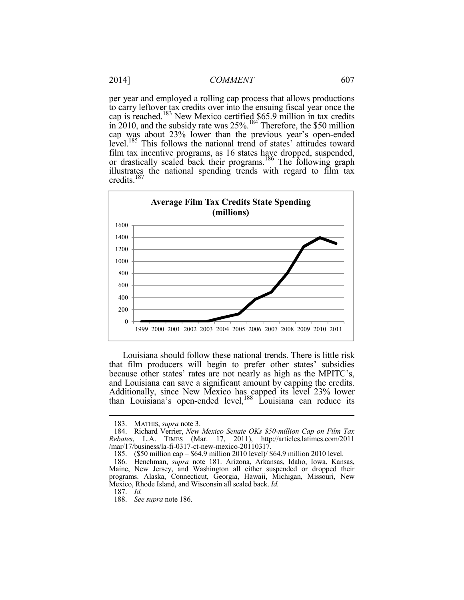per year and employed a rolling cap process that allows productions to carry leftover tax credits over into the ensuing fiscal year once the cap is reached.<sup>183</sup> New Mexico certified \$65.9 million in tax credits in 2010, and the subsidy rate was  $25\%$ .<sup>184</sup> Therefore, the \$50 million cap was about 23% lower than the previous year's open-ended level.<sup>185</sup> This follows the national trend of states' attitudes toward film tax incentive programs, as 16 states have dropped, suspended, or drastically scaled back their programs.<sup>186</sup> The following graph illustrates the national spending trends with regard to film tax credits.<sup>187</sup>



Louisiana should follow these national trends. There is little risk that film producers will begin to prefer other states' subsidies because other states' rates are not nearly as high as the MPITC's, and Louisiana can save a significant amount by capping the credits. Additionally, since New Mexico has capped its level 23% lower than Louisiana's open-ended level, $188$  Louisiana can reduce its

 <sup>183.</sup> MATHIS, *supra* note 3.

 <sup>184.</sup> Richard Verrier, *New Mexico Senate OKs \$50-million Cap on Film Tax Rebates*, L.A. TIMES (Mar. 17, 2011), http://articles.latimes.com/2011 /mar/17/business/la-fi-0317-ct-new-mexico-20110317.

 <sup>185. (\$50</sup> million cap – \$64.9 million 2010 level)/ \$64.9 million 2010 level.

 <sup>186.</sup> Henchman, *supra* note 181. Arizona, Arkansas, Idaho, Iowa, Kansas, Maine, New Jersey, and Washington all either suspended or dropped their programs. Alaska, Connecticut, Georgia, Hawaii, Michigan, Missouri, New Mexico, Rhode Island, and Wisconsin all scaled back. *Id.* 

 <sup>187.</sup> *Id.*

 <sup>188.</sup> *See supra* note 186.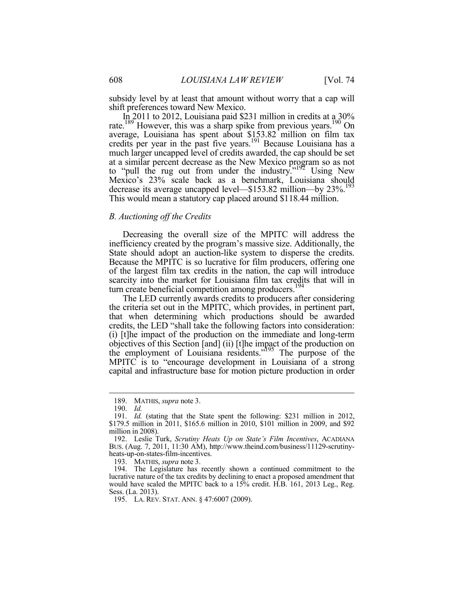subsidy level by at least that amount without worry that a cap will shift preferences toward New Mexico.

In 2011 to 2012, Louisiana paid \$231 million in credits at a 30% rate.<sup>189</sup> However, this was a sharp spike from previous years.<sup>190</sup> On average, Louisiana has spent about \$153.82 million on film tax credits per year in the past five years.<sup>191</sup> Because Louisiana has a much larger uncapped level of credits awarded, the cap should be set at a similar percent decrease as the New Mexico program so as not to "pull the rug out from under the industry."<sup>192</sup> Using New Mexico's 23% scale back as a benchmark, Louisiana should decrease its average uncapped level—\$153.82 million—by 23%.<sup>193</sup> This would mean a statutory cap placed around \$118.44 million.

#### *B. Auctioning off the Credits*

Decreasing the overall size of the MPITC will address the inefficiency created by the program's massive size. Additionally, the State should adopt an auction-like system to disperse the credits. Because the MPITC is so lucrative for film producers, offering one of the largest film tax credits in the nation, the cap will introduce scarcity into the market for Louisiana film tax credits that will in turn create beneficial competition among producers.<sup>194</sup>

The LED currently awards credits to producers after considering the criteria set out in the MPITC, which provides, in pertinent part, that when determining which productions should be awarded credits, the LED "shall take the following factors into consideration: (i) [t]he impact of the production on the immediate and long-term objectives of this Section [and] (ii) [t]he impact of the production on the employment of Louisiana residents."<sup>195</sup> The purpose of the MPITC is to "encourage development in Louisiana of a strong capital and infrastructure base for motion picture production in order

1

193. MATHIS, *supra* note 3.

 194. The Legislature has recently shown a continued commitment to the lucrative nature of the tax credits by declining to enact a proposed amendment that would have scaled the MPITC back to a 15% credit. H.B. 161, 2013 Leg., Reg. Sess. (La. 2013).

195. LA. REV. STAT. ANN. § 47:6007 (2009).

 <sup>189.</sup> MATHIS, *supra* note 3.

 <sup>190.</sup> *Id.*

 <sup>191.</sup> *Id.* (stating that the State spent the following: \$231 million in 2012, \$179.5 million in 2011, \$165.6 million in 2010, \$101 million in 2009, and \$92 million in 2008).

 <sup>192.</sup> Leslie Turk, *Scrutiny Heats Up on State's Film Incentives*, ACADIANA BUS. (Aug. 7, 2011, 11:30 AM), http://www.theind.com/business/11129-scrutinyheats-up-on-states-film-incentives.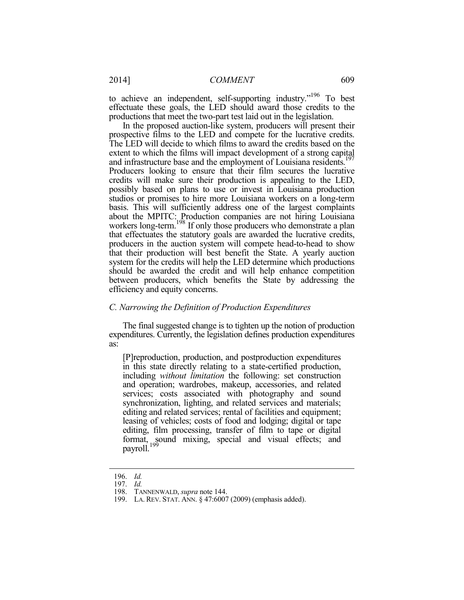to achieve an independent, self-supporting industry.<sup>"196</sup> To best effectuate these goals, the LED should award those credits to the productions that meet the two-part test laid out in the legislation.

In the proposed auction-like system, producers will present their prospective films to the LED and compete for the lucrative credits. The LED will decide to which films to award the credits based on the extent to which the films will impact development of a strong capital and infrastructure base and the employment of Louisiana residents.<sup>197</sup> Producers looking to ensure that their film secures the lucrative credits will make sure their production is appealing to the LED, possibly based on plans to use or invest in Louisiana production studios or promises to hire more Louisiana workers on a long-term basis. This will sufficiently address one of the largest complaints about the MPITC: Production companies are not hiring Louisiana workers long-term.<sup>198</sup> If only those producers who demonstrate a plan that effectuates the statutory goals are awarded the lucrative credits, producers in the auction system will compete head-to-head to show that their production will best benefit the State. A yearly auction system for the credits will help the LED determine which productions should be awarded the credit and will help enhance competition between producers, which benefits the State by addressing the efficiency and equity concerns.

#### *C. Narrowing the Definition of Production Expenditures*

The final suggested change is to tighten up the notion of production expenditures. Currently, the legislation defines production expenditures as:

[P]reproduction, production, and postproduction expenditures in this state directly relating to a state-certified production, including *without limitation* the following: set construction and operation; wardrobes, makeup, accessories, and related services; costs associated with photography and sound synchronization, lighting, and related services and materials; editing and related services; rental of facilities and equipment; leasing of vehicles; costs of food and lodging; digital or tape editing, film processing, transfer of film to tape or digital format, sound mixing, special and visual effects; and payroll.<sup>199</sup>

 <sup>196.</sup> *Id.* 

 <sup>197.</sup> *Id.*

 <sup>198.</sup> TANNENWALD, *supra* note 144.

 <sup>199.</sup> LA. REV. STAT. ANN. § 47:6007 (2009) (emphasis added).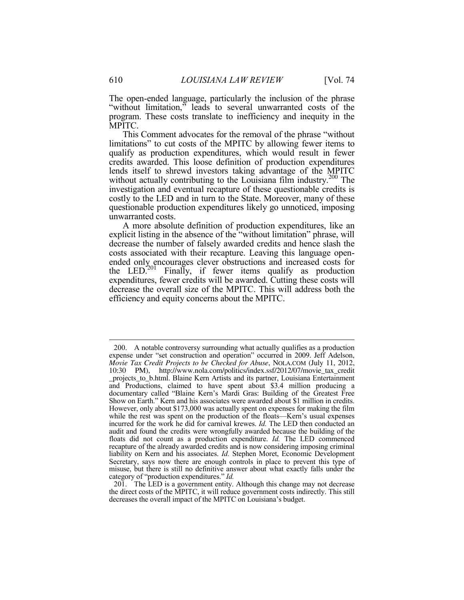The open-ended language, particularly the inclusion of the phrase "without limitation," leads to several unwarranted costs of the program. These costs translate to inefficiency and inequity in the MPITC.

This Comment advocates for the removal of the phrase "without limitations" to cut costs of the MPITC by allowing fewer items to qualify as production expenditures, which would result in fewer credits awarded. This loose definition of production expenditures lends itself to shrewd investors taking advantage of the MPITC without actually contributing to the Louisiana film industry.<sup>200</sup> The investigation and eventual recapture of these questionable credits is costly to the LED and in turn to the State. Moreover, many of these questionable production expenditures likely go unnoticed, imposing unwarranted costs.

A more absolute definition of production expenditures, like an explicit listing in the absence of the "without limitation" phrase, will decrease the number of falsely awarded credits and hence slash the costs associated with their recapture. Leaving this language openended only encourages clever obstructions and increased costs for the LED.<sup>201</sup> Finally, if fewer items qualify as production expenditures, fewer credits will be awarded. Cutting these costs will decrease the overall size of the MPITC. This will address both the efficiency and equity concerns about the MPITC.

<u>.</u>

 <sup>200.</sup> A notable controversy surrounding what actually qualifies as a production expense under "set construction and operation" occurred in 2009. Jeff Adelson, *Movie Tax Credit Projects to be Checked for Abuse*, NOLA.COM (July 11, 2012, 10:30 PM), http://www.nola.com/politics/index.ssf/2012/07/movie\_tax\_credit \_projects\_to\_b.html. Blaine Kern Artists and its partner, Louisiana Entertainment and Productions, claimed to have spent about \$3.4 million producing a documentary called "Blaine Kern's Mardi Gras: Building of the Greatest Free Show on Earth." Kern and his associates were awarded about \$1 million in credits. However, only about \$173,000 was actually spent on expenses for making the film while the rest was spent on the production of the floats—Kern's usual expenses incurred for the work he did for carnival krewes. *Id.* The LED then conducted an audit and found the credits were wrongfully awarded because the building of the floats did not count as a production expenditure. *Id.* The LED commenced recapture of the already awarded credits and is now considering imposing criminal liability on Kern and his associates. *Id.* Stephen Moret, Economic Development Secretary, says now there are enough controls in place to prevent this type of misuse, but there is still no definitive answer about what exactly falls under the category of "production expenditures." *Id.*

 <sup>201.</sup> The LED is a government entity. Although this change may not decrease the direct costs of the MPITC, it will reduce government costs indirectly. This still decreases the overall impact of the MPITC on Louisiana's budget.